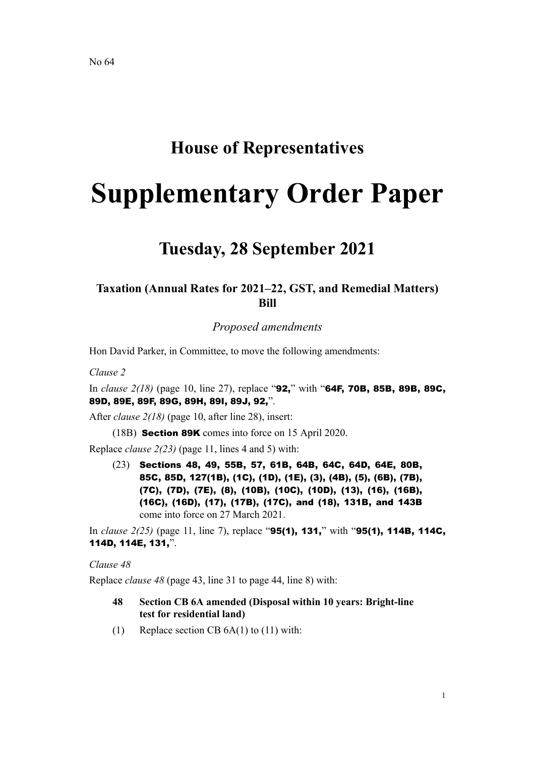# **House of Representatives**

# **Supplementary Order Paper**

# **Tuesday, 28 September 2021**

# **Taxation (Annual Rates for 2021–22, GST, and Remedial Matters) Bill**

*Proposed amendments*

Hon David Parker, in Committee, to move the following amendments:

*Clause 2*

In *clause 2(18)* (page 10, line 27), replace "92," with "64F, 70B, 85B, 89B, 89C, 89D, 89E, 89F, 89G, 89H, 89I, 89J, 92,".

After *clause 2(18)* (page 10, after line 28), insert:

(18B) Section 89K comes into force on 15 April 2020.

Replace *clause 2(23)* (page 11, lines 4 and 5) with:

(23) Sections 48, 49, 55B, 57, 61B, 64B, 64C, 64D, 64E, 80B, 85C, 85D, 127(1B), (1C), (1D), (1E), (3), (4B), (5), (6B), (7B), (7C), (7D), (7E), (8), (10B), (10C), (10D), (13), (16), (16B), (16C), (16D), (17), (17B), (17C), and (18), 131B, and 143B come into force on 27 March 2021.

In *clause 2(25)* (page 11, line 7), replace "95(1), 131," with "95(1), 114B, 114C, 114D, 114E, 131,".

#### *Clause 48*

Replace *clause 48* (page 43, line 31 to page 44, line 8) with:

- **48 Section CB 6A amended (Disposal within 10 years: Bright-line test for residential land)**
- (1) Replace section CB 6A(1) to (11) with: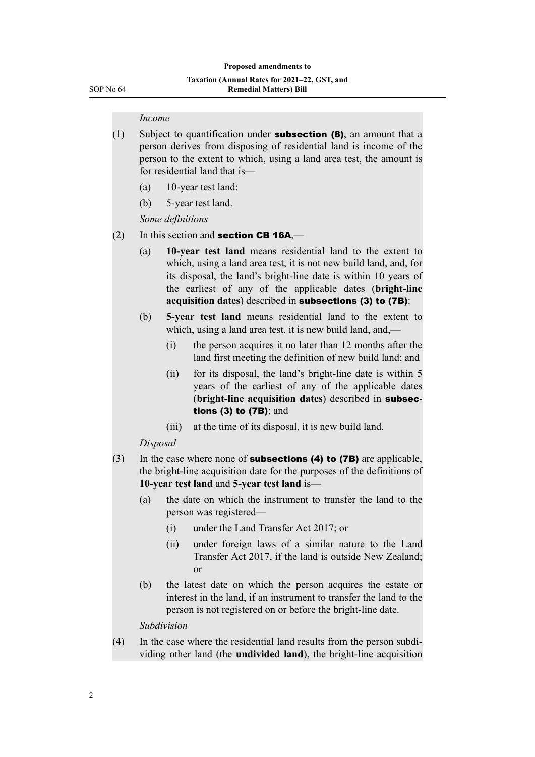#### *Income*

- $(1)$  Subject to quantification under **subsection (8)**, an amount that a person derives from disposing of residential land is income of the person to the extent to which, using a land area test, the amount is for residential land that is—
	- (a) 10-year test land:
	- (b) 5-year test land.

*Some definitions*

- (2) In this section and **section CB 16A**,—
	- (a) **10-year test land** means residential land to the extent to which, using a land area test, it is not new build land, and, for its disposal, the land's bright-line date is within 10 years of the earliest of any of the applicable dates (**bright-line acquisition dates**) described in subsections (3) to (7B):
	- (b) **5-year test land** means residential land to the extent to which, using a land area test, it is new build land, and,—
		- (i) the person acquires it no later than 12 months after the land first meeting the definition of new build land; and
		- (ii) for its disposal, the land's bright-line date is within 5 years of the earliest of any of the applicable dates (**bright-line acquisition dates**) described in subsections (3) to (7B); and
		- (iii) at the time of its disposal, it is new build land.

#### *Disposal*

- (3) In the case where none of **subsections (4) to (7B)** are applicable, the bright-line acquisition date for the purposes of the definitions of **10-year test land** and **5-year test land** is—
	- (a) the date on which the instrument to transfer the land to the person was registered—
		- (i) under the Land Transfer Act 2017; or
		- (ii) under foreign laws of a similar nature to the Land Transfer Act 2017, if the land is outside New Zealand; or
	- (b) the latest date on which the person acquires the estate or interest in the land, if an instrument to transfer the land to the person is not registered on or before the bright-line date.

*Subdivision*

(4) In the case where the residential land results from the person subdi‐ viding other land (the **undivided land**), the bright-line acquisition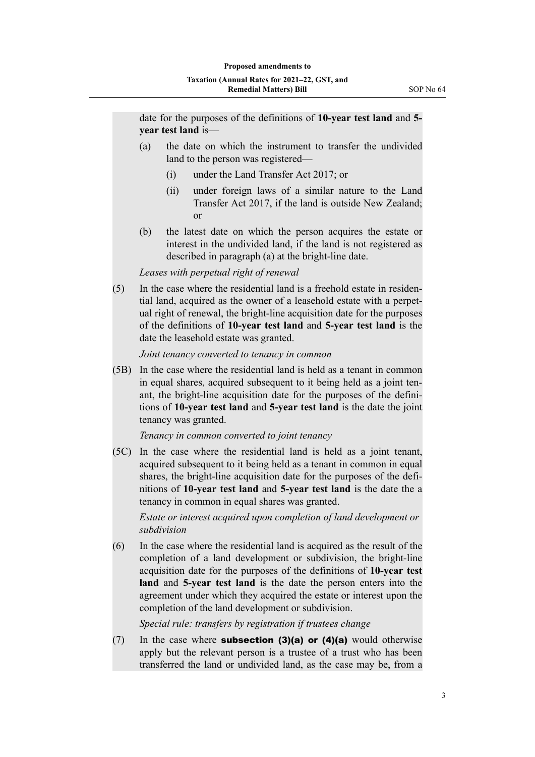date for the purposes of the definitions of **10-year test land** and **5 year test land** is—

- (a) the date on which the instrument to transfer the undivided land to the person was registered—
	- (i) under the Land Transfer Act 2017; or
	- (ii) under foreign laws of a similar nature to the Land Transfer Act 2017, if the land is outside New Zealand; or
- (b) the latest date on which the person acquires the estate or interest in the undivided land, if the land is not registered as described in paragraph (a) at the bright-line date.

#### *Leases with perpetual right of renewal*

 $(5)$  In the case where the residential land is a freehold estate in residential land, acquired as the owner of a leasehold estate with a perpet‐ ual right of renewal, the bright-line acquisition date for the purposes of the definitions of **10-year test land** and **5-year test land** is the date the leasehold estate was granted.

#### *Joint tenancy converted to tenancy in common*

(5B) In the case where the residential land is held as a tenant in common in equal shares, acquired subsequent to it being held as a joint tenant, the bright-line acquisition date for the purposes of the defini‐ tions of **10-year test land** and **5-year test land** is the date the joint tenancy was granted.

#### *Tenancy in common converted to joint tenancy*

(5C) In the case where the residential land is held as a joint tenant, acquired subsequent to it being held as a tenant in common in equal shares, the bright-line acquisition date for the purposes of the definitions of **10-year test land** and **5-year test land** is the date the a tenancy in common in equal shares was granted.

*Estate or interest acquired upon completion of land development or subdivision*

(6) In the case where the residential land is acquired as the result of the completion of a land development or subdivision, the bright-line acquisition date for the purposes of the definitions of **10-year test land** and **5-year test land** is the date the person enters into the agreement under which they acquired the estate or interest upon the completion of the land development or subdivision.

*Special rule: transfers by registration if trustees change*

(7) In the case where **subsection (3)(a) or (4)(a)** would otherwise apply but the relevant person is a trustee of a trust who has been transferred the land or undivided land, as the case may be, from a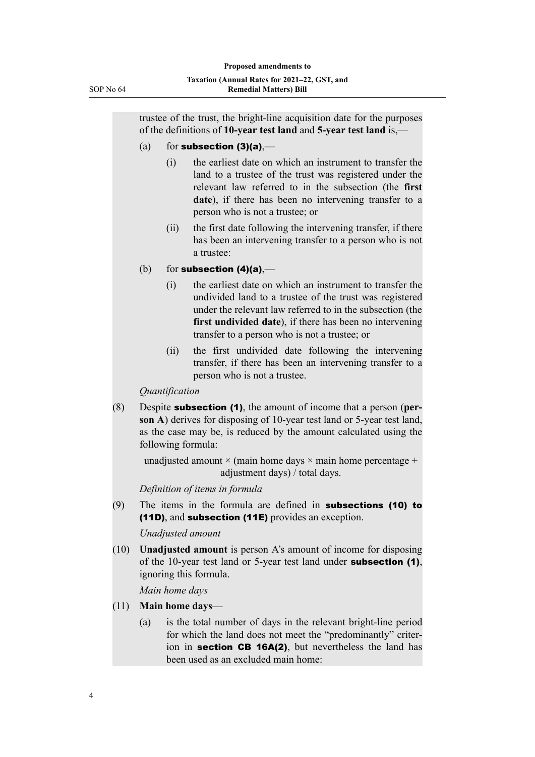trustee of the trust, the bright-line acquisition date for the purposes of the definitions of **10-year test land** and **5-year test land** is,—

#### (a) for subsection  $(3)(a)$ ,—

- (i) the earliest date on which an instrument to transfer the land to a trustee of the trust was registered under the relevant law referred to in the subsection (the **first** date), if there has been no intervening transfer to a person who is not a trustee; or
- (ii) the first date following the intervening transfer, if there has been an intervening transfer to a person who is not a trustee:
- (b) for subsection  $(4)(a)$ ,—
	- (i) the earliest date on which an instrument to transfer the undivided land to a trustee of the trust was registered under the relevant law referred to in the subsection (the **first undivided date**), if there has been no intervening transfer to a person who is not a trustee; or
	- (ii) the first undivided date following the intervening transfer, if there has been an intervening transfer to a person who is not a trustee.

*Quantification*

(8) Despite subsection (1), the amount of income that a person (**per‐ son A**) derives for disposing of 10-year test land or 5-year test land, as the case may be, is reduced by the amount calculated using the following formula:

unadjusted amount  $\times$  (main home days  $\times$  main home percentage + adjustment days) / total days.

*Definition of items in formula*

(9) The items in the formula are defined in subsections (10) to (11D), and subsection (11E) provides an exception.

*Unadjusted amount*

(10) **Unadjusted amount** is person A's amount of income for disposing of the 10-year test land or 5-year test land under subsection (1), ignoring this formula.

*Main home days*

- (11) **Main home days**
	- (a) is the total number of days in the relevant bright-line period for which the land does not meet the "predominantly" criterion in **section CB 16A(2)**, but nevertheless the land has been used as an excluded main home: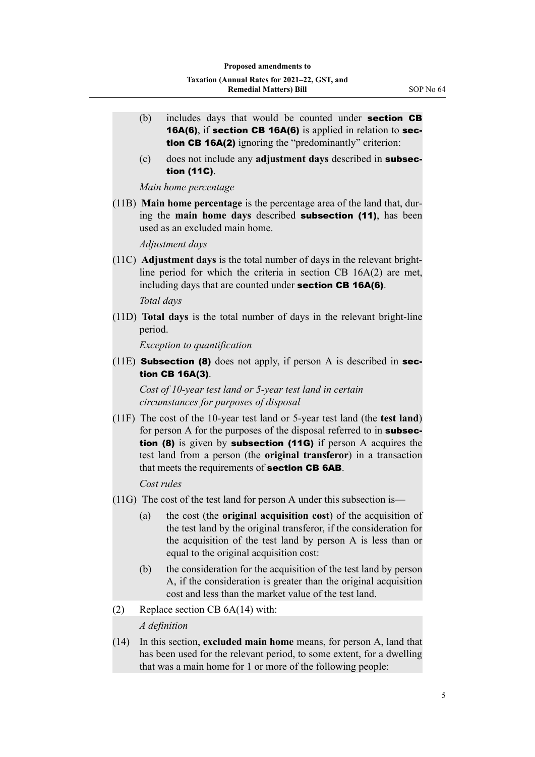- (b) includes days that would be counted under **section CB** 16A(6), if section CB 16A(6) is applied in relation to section CB 16A(2) ignoring the "predominantly" criterion:
- (c) does not include any **adjustment days** described in subsection (11C).

*Main home percentage*

(11B) **Main home percentage** is the percentage area of the land that, dur‐ ing the **main home days** described subsection (11), has been used as an excluded main home.

*Adjustment days*

(11C) **Adjustment days** is the total number of days in the relevant brightline period for which the criteria in section CB 16A(2) are met, including days that are counted under section CB 16A(6).

*Total days*

(11D) **Total days** is the total number of days in the relevant bright-line period.

*Exception to quantification*

(11E) **Subsection (8)** does not apply, if person A is described in section CB 16A(3).

*Cost of 10-year test land or 5-year test land in certain circumstances for purposes of disposal*

(11F) The cost of the 10-year test land or 5-year test land (the **test land**) for person A for the purposes of the disposal referred to in **subsec**tion (8) is given by subsection (11G) if person A acquires the test land from a person (the **original transferor**) in a transaction that meets the requirements of **section CB 6AB**.

*Cost rules*

- (11G) The cost of the test land for person A under this subsection is—
	- (a) the cost (the **original acquisition cost**) of the acquisition of the test land by the original transferor, if the consideration for the acquisition of the test land by person A is less than or equal to the original acquisition cost:
	- (b) the consideration for the acquisition of the test land by person A, if the consideration is greater than the original acquisition cost and less than the market value of the test land.
- (2) Replace section CB 6A(14) with:

*A definition*

(14) In this section, **excluded main home** means, for person A, land that has been used for the relevant period, to some extent, for a dwelling that was a main home for 1 or more of the following people: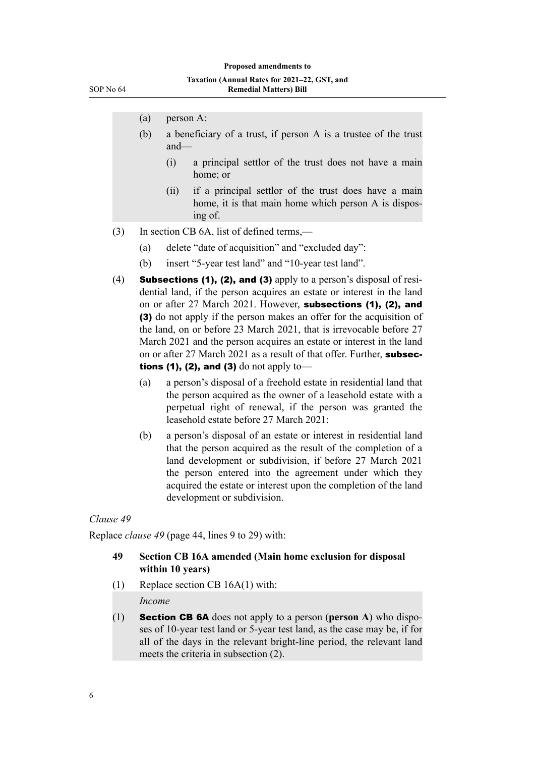- (a) person A:
- (b) a beneficiary of a trust, if person A is a trustee of the trust and—
	- (i) a principal settlor of the trust does not have a main home; or
	- (ii) if a principal settlor of the trust does have a main home, it is that main home which person A is disposing of.
- (3) In section CB 6A, list of defined terms,—
	- (a) delete "date of acquisition" and "excluded day":
	- (b) insert "5-year test land" and "10-year test land".
- (4) Subsections (1), (2), and (3) apply to a person's disposal of residential land, if the person acquires an estate or interest in the land on or after 27 March 2021. However, subsections (1), (2), and (3) do not apply if the person makes an offer for the acquisition of the land, on or before 23 March 2021, that is irrevocable before 27 March 2021 and the person acquires an estate or interest in the land on or after 27 March 2021 as a result of that offer. Further, subsections (1), (2), and (3) do not apply to-
	- (a) a person's disposal of a freehold estate in residential land that the person acquired as the owner of a leasehold estate with a perpetual right of renewal, if the person was granted the leasehold estate before 27 March 2021:
	- (b) a person's disposal of an estate or interest in residential land that the person acquired as the result of the completion of a land development or subdivision, if before 27 March 2021 the person entered into the agreement under which they acquired the estate or interest upon the completion of the land development or subdivision.

#### *Clause 49*

Replace *clause 49* (page 44, lines 9 to 29) with:

#### **49 Section CB 16A amended (Main home exclusion for disposal within 10 years)**

- (1) Replace section CB 16A(1) with: *Income*
- (1) Section CB 6A does not apply to a person (**person A**) who dispo‐ ses of 10-year test land or 5-year test land, as the case may be, if for all of the days in the relevant bright-line period, the relevant land meets the criteria in subsection (2).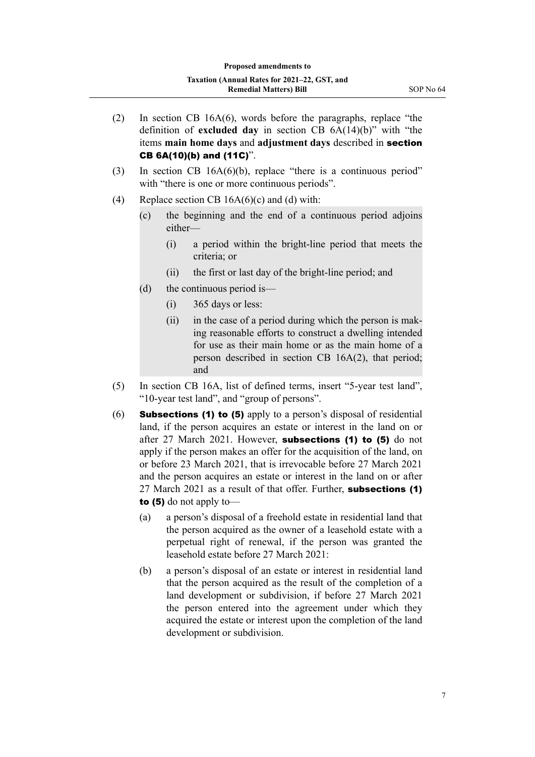- (2) In section CB 16A(6), words before the paragraphs, replace "the definition of **excluded day** in section CB 6A(14)(b)" with "the items **main home days** and **adjustment days** described in section CB 6A(10)(b) and (11C)".
- (3) In section CB 16A(6)(b), replace "there is a continuous period" with "there is one or more continuous periods".
- (4) Replace section CB  $16A(6)(c)$  and (d) with:
	- (c) the beginning and the end of a continuous period adjoins either—
		- (i) a period within the bright-line period that meets the criteria; or
		- (ii) the first or last day of the bright-line period; and
	- (d) the continuous period is—
		- (i) 365 days or less:
		- $(ii)$  in the case of a period during which the person is making reasonable efforts to construct a dwelling intended for use as their main home or as the main home of a person described in section CB 16A(2), that period; and
- (5) In section CB 16A, list of defined terms, insert "5-year test land", "10-year test land", and "group of persons".
- $(6)$  Subsections (1) to (5) apply to a person's disposal of residential land, if the person acquires an estate or interest in the land on or after 27 March 2021. However, **subsections (1) to (5)** do not apply if the person makes an offer for the acquisition of the land, on or before 23 March 2021, that is irrevocable before 27 March 2021 and the person acquires an estate or interest in the land on or after 27 March 2021 as a result of that offer. Further, subsections (1) to (5) do not apply to—
	- (a) a person's disposal of a freehold estate in residential land that the person acquired as the owner of a leasehold estate with a perpetual right of renewal, if the person was granted the leasehold estate before 27 March 2021:
	- (b) a person's disposal of an estate or interest in residential land that the person acquired as the result of the completion of a land development or subdivision, if before 27 March 2021 the person entered into the agreement under which they acquired the estate or interest upon the completion of the land development or subdivision.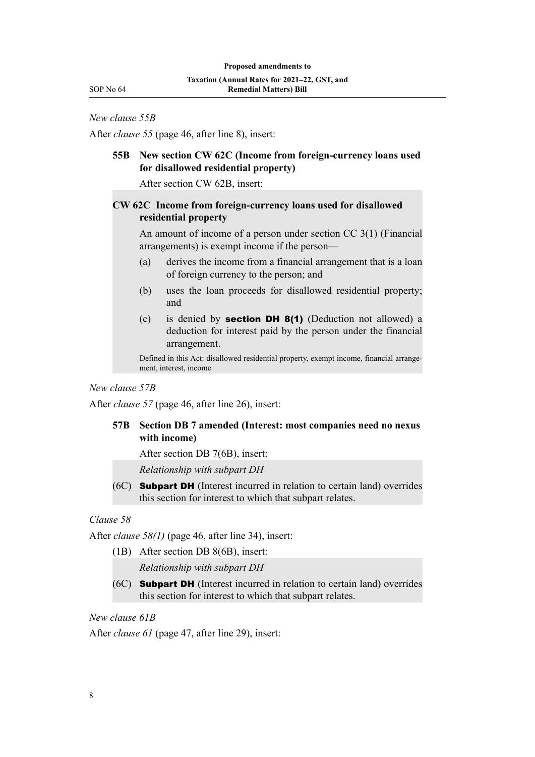*New clause 55B*

After *clause 55* (page 46, after line 8), insert:

# **55B New section CW 62C (Income from foreign-currency loans used for disallowed residential property)**

After section CW 62B, insert:

# **CW 62C Income from foreign-currency loans used for disallowed residential property**

An amount of income of a person under section CC 3(1) (Financial arrangements) is exempt income if the person—

- (a) derives the income from a financial arrangement that is a loan of foreign currency to the person; and
- (b) uses the loan proceeds for disallowed residential property; and
- (c) is denied by **section DH 8(1)** (Deduction not allowed) a deduction for interest paid by the person under the financial arrangement.

Defined in this Act: disallowed residential property, exempt income, financial arrangement, interest, income

*New clause 57B*

After *clause 57* (page 46, after line 26), insert:

# **57B Section DB 7 amended (Interest: most companies need no nexus with income)**

After section DB 7(6B), insert:

*Relationship with subpart DH*

(6C) Subpart DH (Interest incurred in relation to certain land) overrides this section for interest to which that subpart relates.

# *Clause 58*

After *clause 58(1)* (page 46, after line 34), insert:

(1B) After section DB 8(6B), insert:

*Relationship with subpart DH*

(6C) Subpart DH (Interest incurred in relation to certain land) overrides this section for interest to which that subpart relates.

*New clause 61B*

After *clause 61* (page 47, after line 29), insert: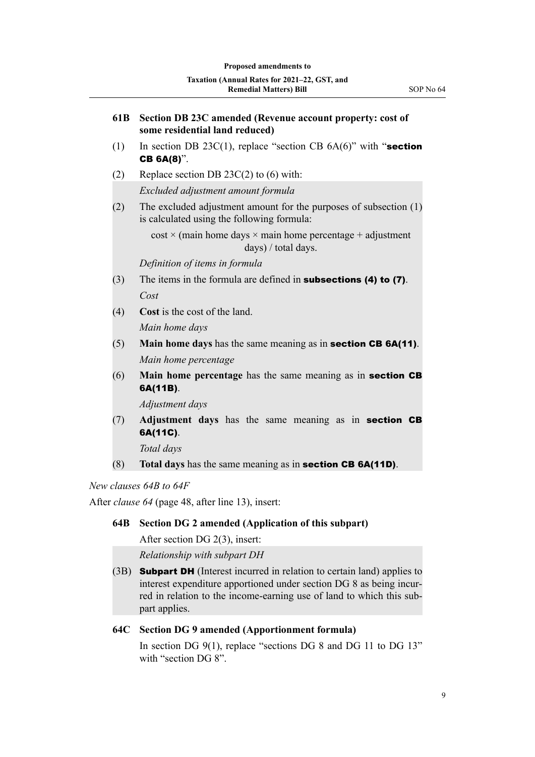| 61B | Section DB 23C amended (Revenue account property: cost of<br>some residential land reduced)                       |
|-----|-------------------------------------------------------------------------------------------------------------------|
| (1) | In section DB 23C(1), replace "section CB $6A(6)$ " with "section<br><b>CB 6A(8)".</b>                            |
| (2) | Replace section DB $23C(2)$ to (6) with:                                                                          |
|     | Excluded adjustment amount formula                                                                                |
| (2) | The excluded adjustment amount for the purposes of subsection $(1)$<br>is calculated using the following formula: |
|     | $\cos t \times$ (main home days $\times$ main home percentage + adjustment<br>days) / total days.                 |
|     | Definition of items in formula                                                                                    |
| (3) | The items in the formula are defined in <b>subsections (4) to (7)</b> .                                           |
|     | Cost                                                                                                              |
| (4) | Cost is the cost of the land.                                                                                     |
|     | Main home days                                                                                                    |
| (5) | Main home days has the same meaning as in section CB 6A(11).                                                      |
|     | Main home percentage                                                                                              |
| (6) | Main home percentage has the same meaning as in section CB<br>6A(11B).                                            |
|     | Adjustment days                                                                                                   |
| (7) | Adjustment days has the same meaning as in section CB<br>6A(11C).                                                 |

*Total days*

(8) **Total days** has the same meaning as in section CB 6A(11D).

*New clauses 64B to 64F*

After *clause 64* (page 48, after line 13), insert:

# **64B Section DG 2 amended (Application of this subpart)**

After section DG 2(3), insert:

*Relationship with subpart DH*

(3B) **Subpart DH** (Interest incurred in relation to certain land) applies to interest expenditure apportioned under section DG 8 as being incurred in relation to the income-earning use of land to which this sub‐ part applies.

# **64C Section DG 9 amended (Apportionment formula)**

In section DG 9(1), replace "sections DG 8 and DG 11 to DG 13" with "section DG 8".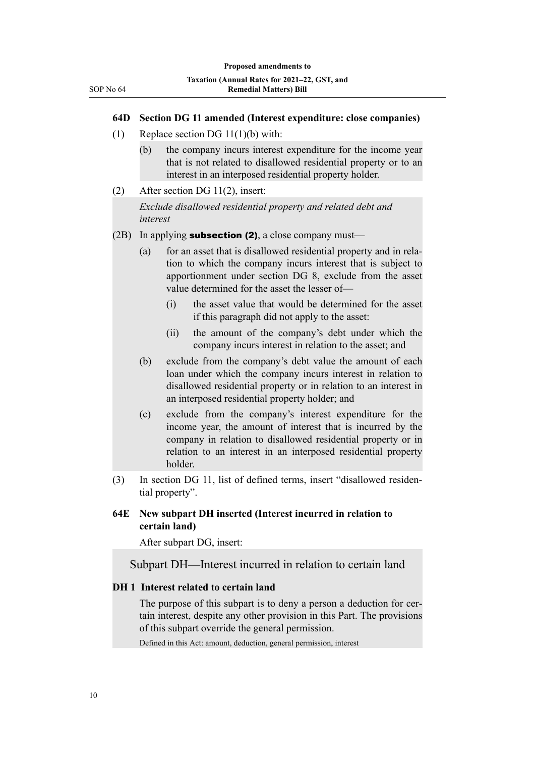#### **64D Section DG 11 amended (Interest expenditure: close companies)**

- (1) Replace section DG 11(1)(b) with:
	- (b) the company incurs interest expenditure for the income year that is not related to disallowed residential property or to an interest in an interposed residential property holder.
- (2) After section DG 11(2), insert:

*Exclude disallowed residential property and related debt and interest*

- $(2B)$  In applying **subsection (2)**, a close company must—
	- (a) for an asset that is disallowed residential property and in relation to which the company incurs interest that is subject to apportionment under section DG 8, exclude from the asset value determined for the asset the lesser of—
		- (i) the asset value that would be determined for the asset if this paragraph did not apply to the asset:
		- (ii) the amount of the company's debt under which the company incurs interest in relation to the asset; and
	- (b) exclude from the company's debt value the amount of each loan under which the company incurs interest in relation to disallowed residential property or in relation to an interest in an interposed residential property holder; and
	- (c) exclude from the company's interest expenditure for the income year, the amount of interest that is incurred by the company in relation to disallowed residential property or in relation to an interest in an interposed residential property holder.
- (3) In section DG 11, list of defined terms, insert "disallowed residen‐ tial property".

# **64E New subpart DH inserted (Interest incurred in relation to certain land)**

After subpart DG, insert:

Subpart DH—Interest incurred in relation to certain land

#### **DH 1 Interest related to certain land**

The purpose of this subpart is to deny a person a deduction for certain interest, despite any other provision in this Part. The provisions of this subpart override the general permission.

Defined in this Act: amount, deduction, general permission, interest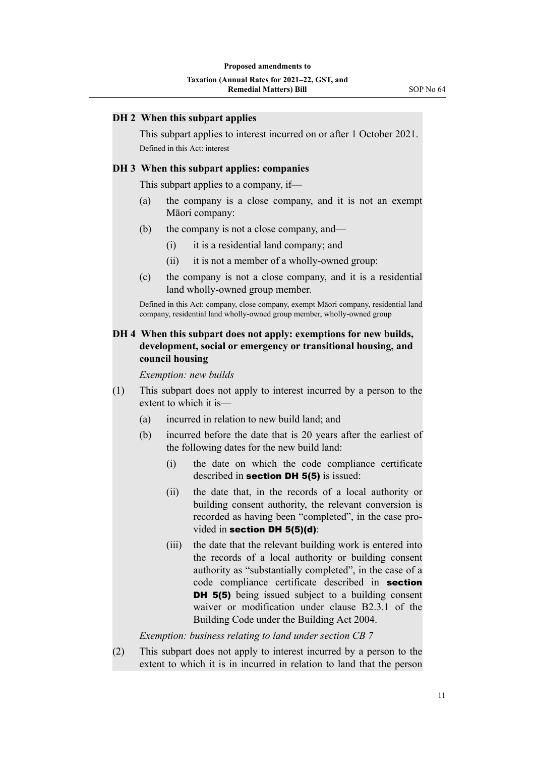#### **DH 2 When this subpart applies**

This subpart applies to interest incurred on or after 1 October 2021. Defined in this Act: interest

#### **DH 3 When this subpart applies: companies**

This subpart applies to a company, if—

- (a) the company is a close company, and it is not an exempt Māori company:
- (b) the company is not a close company, and—
	- (i) it is a residential land company; and
	- (ii) it is not a member of a wholly-owned group:
- (c) the company is not a close company, and it is a residential land wholly-owned group member.

Defined in this Act: company, close company, exempt Māori company, residential land company, residential land wholly-owned group member, wholly-owned group

# **DH 4 When this subpart does not apply: exemptions for new builds, development, social or emergency or transitional housing, and council housing**

*Exemption: new builds*

- (1) This subpart does not apply to interest incurred by a person to the extent to which it is—
	- (a) incurred in relation to new build land; and
	- (b) incurred before the date that is 20 years after the earliest of the following dates for the new build land:
		- (i) the date on which the code compliance certificate described in **section DH 5(5)** is issued:
		- (ii) the date that, in the records of a local authority or building consent authority, the relevant conversion is recorded as having been "completed", in the case pro‐ vided in section DH 5(5)(d):
		- (iii) the date that the relevant building work is entered into the records of a local authority or building consent authority as "substantially completed", in the case of a code compliance certificate described in section **DH 5(5)** being issued subject to a building consent waiver or modification under clause B2.3.1 of the Building Code under the Building Act 2004.

*Exemption: business relating to land under section CB 7*

(2) This subpart does not apply to interest incurred by a person to the extent to which it is in incurred in relation to land that the person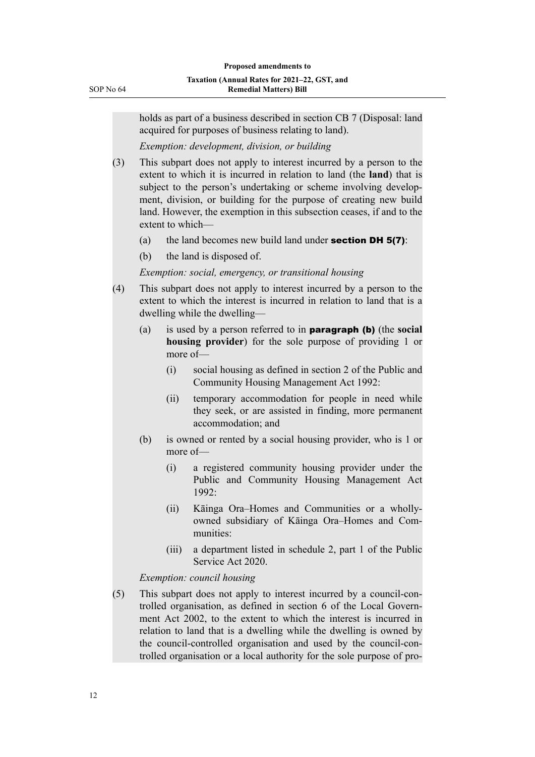| SOP No 64 |  |  |
|-----------|--|--|
|-----------|--|--|

holds as part of a business described in section CB 7 (Disposal: land acquired for purposes of business relating to land).

*Exemption: development, division, or building*

- (3) This subpart does not apply to interest incurred by a person to the extent to which it is incurred in relation to land (the **land**) that is subject to the person's undertaking or scheme involving development, division, or building for the purpose of creating new build land. However, the exemption in this subsection ceases, if and to the extent to which—
	- (a) the land becomes new build land under **section DH 5(7)**:
	- (b) the land is disposed of.

*Exemption: social, emergency, or transitional housing*

- (4) This subpart does not apply to interest incurred by a person to the extent to which the interest is incurred in relation to land that is a dwelling while the dwelling—
	- (a) is used by a person referred to in paragraph (b) (the **social housing provider**) for the sole purpose of providing 1 or more of—
		- (i) social housing as defined in section 2 of the Public and Community Housing Management Act 1992:
		- (ii) temporary accommodation for people in need while they seek, or are assisted in finding, more permanent accommodation; and
	- (b) is owned or rented by a social housing provider, who is 1 or more of—
		- (i) a registered community housing provider under the Public and Community Housing Management Act 1992:
		- (ii) Kāinga Ora–Homes and Communities or a whollyowned subsidiary of Kāinga Ora–Homes and Com‐ munities:
		- (iii) a department listed in schedule 2, part 1 of the Public Service Act 2020.

#### *Exemption: council housing*

(5) This subpart does not apply to interest incurred by a council-con‐ trolled organisation, as defined in section 6 of the Local Govern‐ ment Act 2002, to the extent to which the interest is incurred in relation to land that is a dwelling while the dwelling is owned by the council-controlled organisation and used by the council-con‐ trolled organisation or a local authority for the sole purpose of pro‐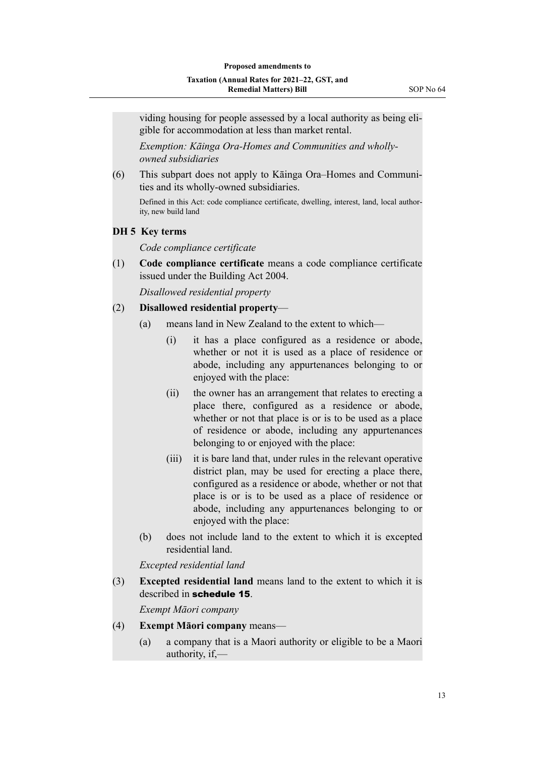viding housing for people assessed by a local authority as being eli‐ gible for accommodation at less than market rental.

*Exemption: Kāinga Ora-Homes and Communities and whollyowned subsidiaries*

(6) This subpart does not apply to Kāinga Ora–Homes and Communi‐ ties and its wholly-owned subsidiaries.

Defined in this Act: code compliance certificate, dwelling, interest, land, local authority, new build land

#### **DH 5 Key terms**

*Code compliance certificate*

(1) **Code compliance certificate** means a code compliance certificate issued under the Building Act 2004.

*Disallowed residential property*

#### (2) **Disallowed residential property**—

- (a) means land in New Zealand to the extent to which—
	- (i) it has a place configured as a residence or abode, whether or not it is used as a place of residence or abode, including any appurtenances belonging to or enjoyed with the place:
	- (ii) the owner has an arrangement that relates to erecting a place there, configured as a residence or abode, whether or not that place is or is to be used as a place of residence or abode, including any appurtenances belonging to or enjoyed with the place:
	- (iii) it is bare land that, under rules in the relevant operative district plan, may be used for erecting a place there, configured as a residence or abode, whether or not that place is or is to be used as a place of residence or abode, including any appurtenances belonging to or enjoyed with the place:
- (b) does not include land to the extent to which it is excepted residential land.

*Excepted residential land*

(3) **Excepted residential land** means land to the extent to which it is described in schedule 15.

*Exempt Māori company*

- (4) **Exempt Māori company** means—
	- (a) a company that is a Maori authority or eligible to be a Maori authority, if,—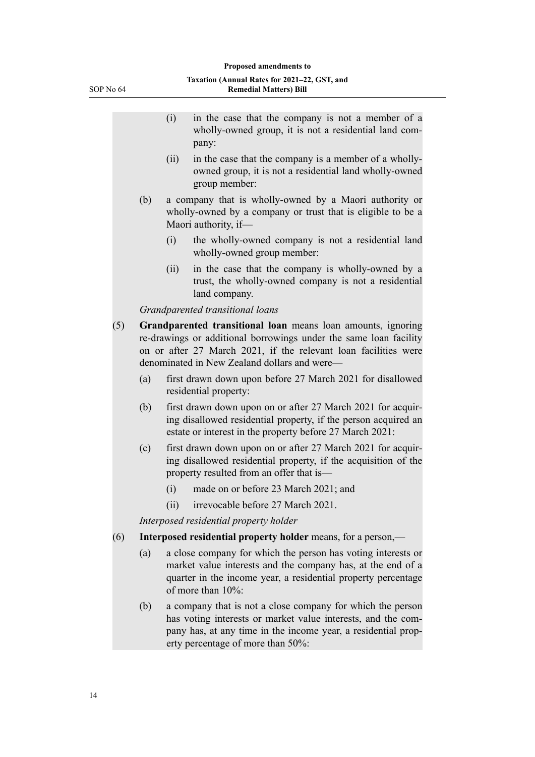| <b>Remedial Matters) Bill</b><br>SOP No 64 |     |      |                                                                                                                                                                                                                                                      |
|--------------------------------------------|-----|------|------------------------------------------------------------------------------------------------------------------------------------------------------------------------------------------------------------------------------------------------------|
|                                            |     |      |                                                                                                                                                                                                                                                      |
|                                            |     | (i)  | in the case that the company is not a member of a<br>wholly-owned group, it is not a residential land com-<br>pany:                                                                                                                                  |
|                                            |     | (ii) | in the case that the company is a member of a wholly-<br>owned group, it is not a residential land wholly-owned<br>group member:                                                                                                                     |
|                                            | (b) |      | a company that is wholly-owned by a Maori authority or<br>wholly-owned by a company or trust that is eligible to be a<br>Maori authority, if-                                                                                                        |
|                                            |     | (i)  | the wholly-owned company is not a residential land<br>wholly-owned group member:                                                                                                                                                                     |
|                                            |     | (ii) | in the case that the company is wholly-owned by a<br>trust, the wholly-owned company is not a residential<br>land company.                                                                                                                           |
|                                            |     |      | Grandparented transitional loans                                                                                                                                                                                                                     |
| (5)                                        |     |      | Grandparented transitional loan means loan amounts, ignoring<br>re-drawings or additional borrowings under the same loan facility<br>on or after 27 March 2021, if the relevant loan facilities were<br>denominated in New Zealand dollars and were- |
|                                            | (a) |      | first drawn down upon before 27 March 2021 for disallowed<br>residential property:                                                                                                                                                                   |
|                                            | (b) |      | first drawn down upon on or after 27 March 2021 for acquir-<br>ing disallowed residential property, if the person acquired an<br>estate or interest in the property before 27 March 2021:                                                            |
|                                            | (c) |      | first drawn down upon on or after 27 March 2021 for acquir-<br>ing disallowed residential property, if the acquisition of the<br>property resulted from an offer that is-                                                                            |
|                                            |     | (i)  | made on or before 23 March 2021; and                                                                                                                                                                                                                 |

(ii) irrevocable before 27 March 2021.

*Interposed residential property holder*

- (6) **Interposed residential property holder** means, for a person,—
	- (a) a close company for which the person has voting interests or market value interests and the company has, at the end of a quarter in the income year, a residential property percentage of more than 10%:
	- (b) a company that is not a close company for which the person has voting interests or market value interests, and the company has, at any time in the income year, a residential prop‐ erty percentage of more than 50%: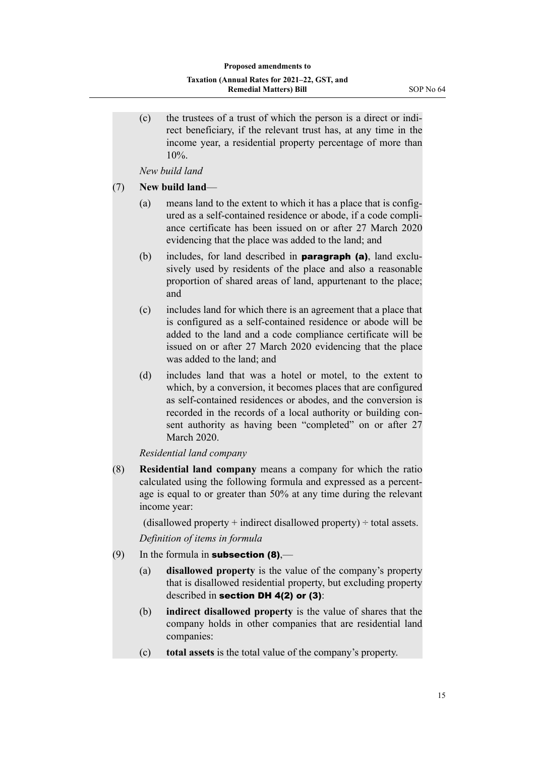(c) the trustees of a trust of which the person is a direct or indi‐ rect beneficiary, if the relevant trust has, at any time in the income year, a residential property percentage of more than  $10\%$ .

*New build land*

(7) **New build land**—

- (a) means land to the extent to which it has a place that is config‐ ured as a self-contained residence or abode, if a code compli‐ ance certificate has been issued on or after 27 March 2020 evidencing that the place was added to the land; and
- (b) includes, for land described in **paragraph (a)**, land exclusively used by residents of the place and also a reasonable proportion of shared areas of land, appurtenant to the place; and
- (c) includes land for which there is an agreement that a place that is configured as a self-contained residence or abode will be added to the land and a code compliance certificate will be issued on or after 27 March 2020 evidencing that the place was added to the land; and
- (d) includes land that was a hotel or motel, to the extent to which, by a conversion, it becomes places that are configured as self-contained residences or abodes, and the conversion is recorded in the records of a local authority or building consent authority as having been "completed" on or after 27 March 2020.

*Residential land company*

(8) **Residential land company** means a company for which the ratio calculated using the following formula and expressed as a percent‐ age is equal to or greater than 50% at any time during the relevant income year:

(disallowed property  $+$  indirect disallowed property)  $\div$  total assets.

*Definition of items in formula*

- (9) In the formula in **subsection (8)**,—
	- (a) **disallowed property** is the value of the company's property that is disallowed residential property, but excluding property described in section DH 4(2) or (3):
	- (b) **indirect disallowed property** is the value of shares that the company holds in other companies that are residential land companies:
	- (c) **total assets** is the total value of the company's property.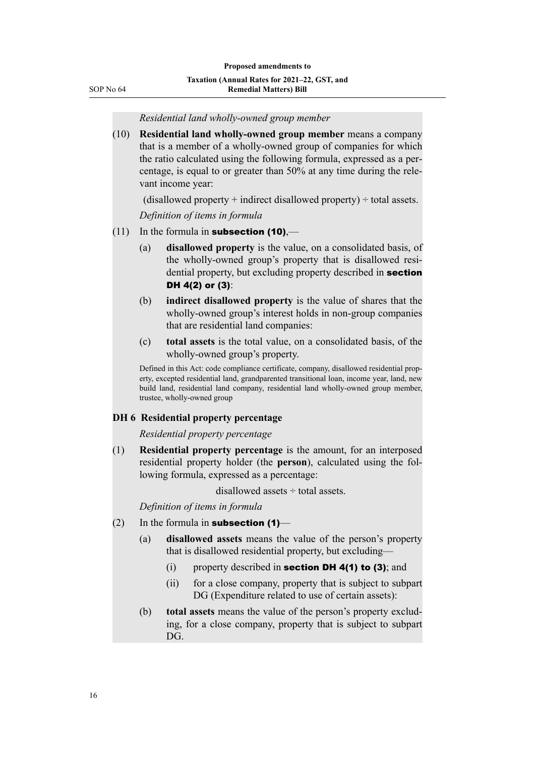| SOP No 64 |
|-----------|
|           |

*Residential land wholly-owned group member*

| (10) | Residential land wholly-owned group member means a company            |
|------|-----------------------------------------------------------------------|
|      | that is a member of a wholly-owned group of companies for which       |
|      | the ratio calculated using the following formula, expressed as a per- |
|      | centage, is equal to or greater than 50% at any time during the rele- |
|      | vant income year:                                                     |
|      |                                                                       |

(disallowed property  $+$  indirect disallowed property)  $\div$  total assets.

*Definition of items in formula*

- $(11)$  In the formula in **subsection (10)**,—
	- (a) **disallowed property** is the value, on a consolidated basis, of the wholly-owned group's property that is disallowed resi‐ dential property, but excluding property described in section DH 4(2) or (3):
	- (b) **indirect disallowed property** is the value of shares that the wholly-owned group's interest holds in non-group companies that are residential land companies:
	- (c) **total assets** is the total value, on a consolidated basis, of the wholly-owned group's property.

Defined in this Act: code compliance certificate, company, disallowed residential prop‐ erty, excepted residential land, grandparented transitional loan, income year, land, new build land, residential land company, residential land wholly-owned group member, trustee, wholly-owned group

#### **DH 6 Residential property percentage**

#### *Residential property percentage*

(1) **Residential property percentage** is the amount, for an interposed residential property holder (the **person**), calculated using the fol‐ lowing formula, expressed as a percentage:

disallowed assets ÷ total assets.

*Definition of items in formula*

- $(2)$  In the formula in **subsection (1)**
	- (a) **disallowed assets** means the value of the person's property that is disallowed residential property, but excluding—
		- (i) property described in **section DH 4(1) to (3)**; and
		- (ii) for a close company, property that is subject to subpart DG (Expenditure related to use of certain assets):
	- (b) **total assets** means the value of the person's property exclud‐ ing, for a close company, property that is subject to subpart DG.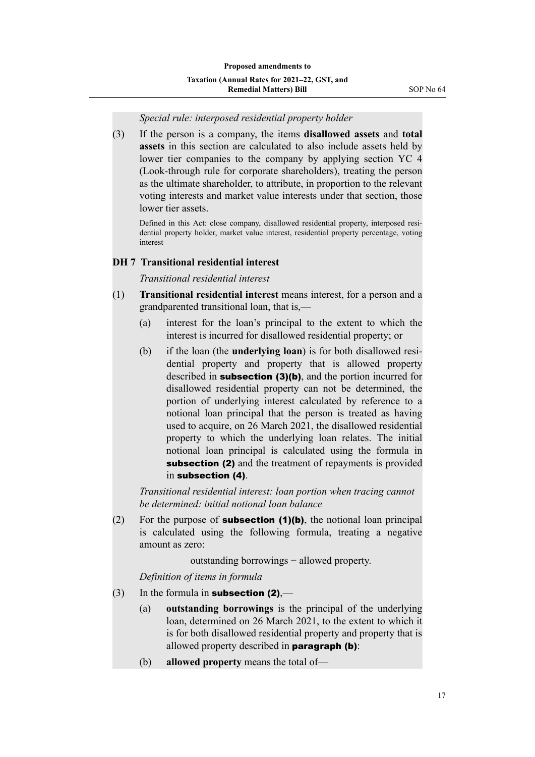#### *Special rule: interposed residential property holder*

(3) If the person is a company, the items **disallowed assets** and **total assets** in this section are calculated to also include assets held by lower tier companies to the company by applying section YC 4 (Look-through rule for corporate shareholders), treating the person as the ultimate shareholder, to attribute, in proportion to the relevant voting interests and market value interests under that section, those lower tier assets.

Defined in this Act: close company, disallowed residential property, interposed residential property holder, market value interest, residential property percentage, voting interest

#### **DH 7 Transitional residential interest**

*Transitional residential interest*

- (1) **Transitional residential interest** means interest, for a person and a grandparented transitional loan, that is,—
	- (a) interest for the loan's principal to the extent to which the interest is incurred for disallowed residential property; or
	- (b) if the loan (the **underlying loan**) is for both disallowed residential property and property that is allowed property described in **subsection** (3)(b), and the portion incurred for disallowed residential property can not be determined, the portion of underlying interest calculated by reference to a notional loan principal that the person is treated as having used to acquire, on 26 March 2021, the disallowed residential property to which the underlying loan relates. The initial notional loan principal is calculated using the formula in subsection (2) and the treatment of repayments is provided in subsection (4).

*Transitional residential interest: loan portion when tracing cannot be determined: initial notional loan balance*

(2) For the purpose of **subsection (1)(b)**, the notional loan principal is calculated using the following formula, treating a negative amount as zero:

outstanding borrowings − allowed property.

*Definition of items in formula*

- (3) In the formula in **subsection (2)**,—
	- (a) **outstanding borrowings** is the principal of the underlying loan, determined on 26 March 2021, to the extent to which it is for both disallowed residential property and property that is allowed property described in paragraph (b):
	- (b) **allowed property** means the total of—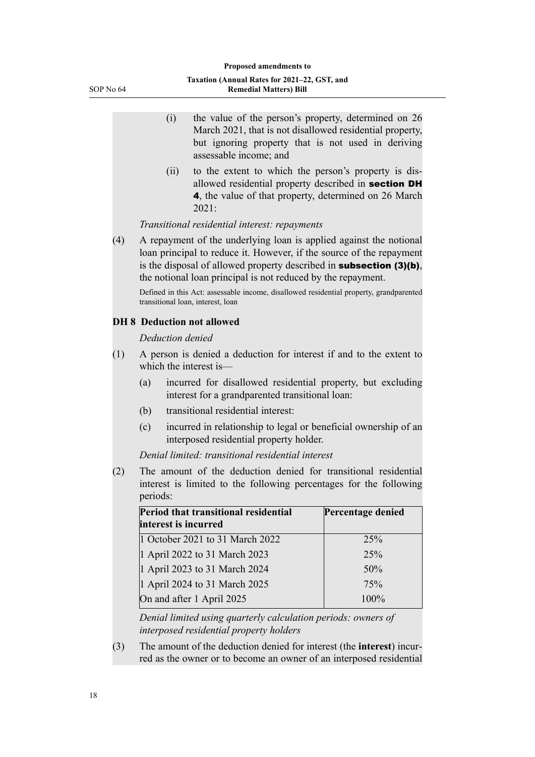- (i) the value of the person's property, determined on 26 March 2021, that is not disallowed residential property, but ignoring property that is not used in deriving assessable income; and
- (ii) to the extent to which the person's property is dis‐ allowed residential property described in section DH 4, the value of that property, determined on 26 March 2021:

#### *Transitional residential interest: repayments*

(4) A repayment of the underlying loan is applied against the notional loan principal to reduce it. However, if the source of the repayment is the disposal of allowed property described in subsection (3)(b), the notional loan principal is not reduced by the repayment.

Defined in this Act: assessable income, disallowed residential property, grandparented transitional loan, interest, loan

#### **DH 8 Deduction not allowed**

#### *Deduction denied*

- (1) A person is denied a deduction for interest if and to the extent to which the interest is—
	- (a) incurred for disallowed residential property, but excluding interest for a grandparented transitional loan:
	- (b) transitional residential interest:
	- (c) incurred in relationship to legal or beneficial ownership of an interposed residential property holder.

*Denial limited: transitional residential interest*

(2) The amount of the deduction denied for transitional residential interest is limited to the following percentages for the following periods:

| Period that transitional residential<br>interest is incurred | Percentage denied |
|--------------------------------------------------------------|-------------------|
| 1 October 2021 to 31 March 2022                              | 25%               |
| 1 April 2022 to 31 March 2023                                | 25%               |
| 1 April 2023 to 31 March 2024                                | 50%               |
| 1 April 2024 to 31 March 2025                                | 75%               |
| On and after 1 April 2025                                    | 100%              |

*Denial limited using quarterly calculation periods: owners of interposed residential property holders*

(3) The amount of the deduction denied for interest (the **interest**) incur‐ red as the owner or to become an owner of an interposed residential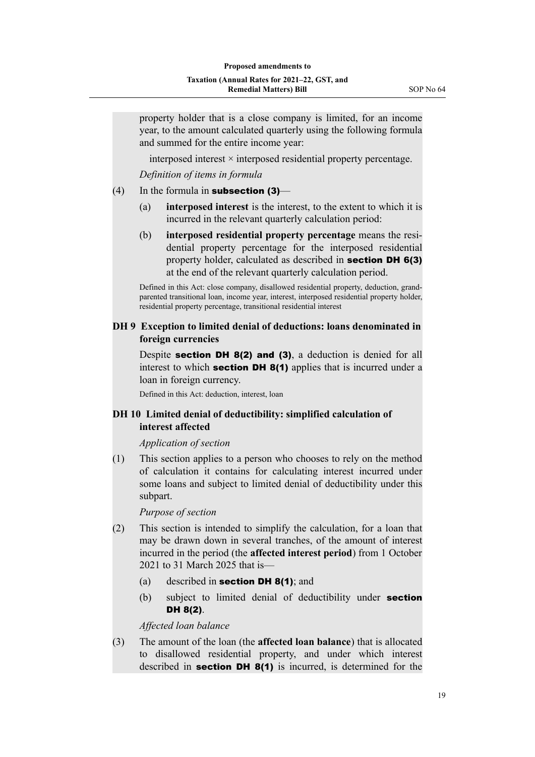property holder that is a close company is limited, for an income year, to the amount calculated quarterly using the following formula and summed for the entire income year:

interposed interest  $\times$  interposed residential property percentage.

*Definition of items in formula*

- $(4)$  In the formula in **subsection (3)**
	- (a) **interposed interest** is the interest, to the extent to which it is incurred in the relevant quarterly calculation period:
	- (b) **interposed residential property percentage** means the resi‐ dential property percentage for the interposed residential property holder, calculated as described in section DH 6(3) at the end of the relevant quarterly calculation period.

Defined in this Act: close company, disallowed residential property, deduction, grandparented transitional loan, income year, interest, interposed residential property holder, residential property percentage, transitional residential interest

#### **DH 9 Exception to limited denial of deductions: loans denominated in foreign currencies**

Despite **section DH 8(2) and (3)**, a deduction is denied for all interest to which **section DH 8(1)** applies that is incurred under a loan in foreign currency.

Defined in this Act: deduction, interest, loan

#### **DH 10 Limited denial of deductibility: simplified calculation of interest affected**

*Application of section*

(1) This section applies to a person who chooses to rely on the method of calculation it contains for calculating interest incurred under some loans and subject to limited denial of deductibility under this subpart.

*Purpose of section*

- (2) This section is intended to simplify the calculation, for a loan that may be drawn down in several tranches, of the amount of interest incurred in the period (the **affected interest period**) from 1 October 2021 to 31 March 2025 that is—
	- (a) described in **section DH 8(1)**; and
	- (b) subject to limited denial of deductibility under **section** DH 8(2).

*Affected loan balance*

(3) The amount of the loan (the **affected loan balance**) that is allocated to disallowed residential property, and under which interest described in **section DH 8(1)** is incurred, is determined for the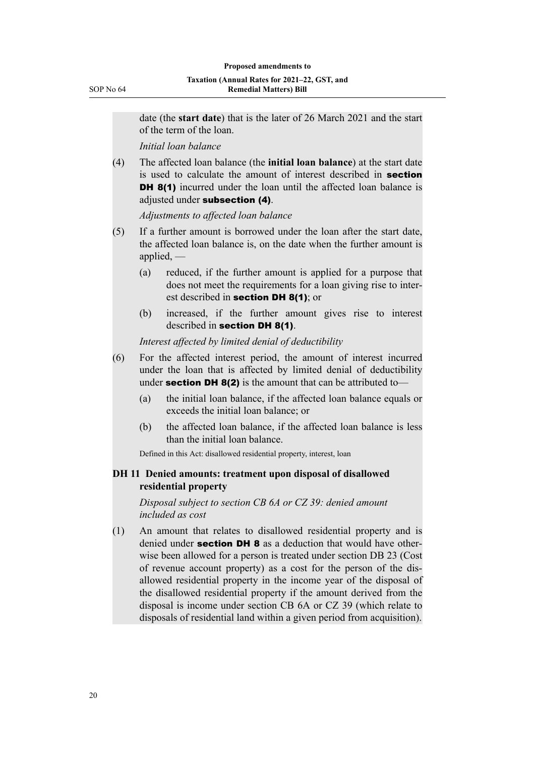date (the **start date**) that is the later of 26 March 2021 and the start of the term of the loan.

*Initial loan balance*

(4) The affected loan balance (the **initial loan balance**) at the start date is used to calculate the amount of interest described in section DH 8(1) incurred under the loan until the affected loan balance is adjusted under subsection (4).

*Adjustments to affected loan balance*

- (5) If a further amount is borrowed under the loan after the start date, the affected loan balance is, on the date when the further amount is applied, —
	- (a) reduced, if the further amount is applied for a purpose that does not meet the requirements for a loan giving rise to inter‐ est described in **section DH 8(1)**; or
	- (b) increased, if the further amount gives rise to interest described in section DH 8(1).

*Interest affected by limited denial of deductibility*

- (6) For the affected interest period, the amount of interest incurred under the loan that is affected by limited denial of deductibility under **section DH 8(2)** is the amount that can be attributed to-
	- (a) the initial loan balance, if the affected loan balance equals or exceeds the initial loan balance; or
	- (b) the affected loan balance, if the affected loan balance is less than the initial loan balance.

Defined in this Act: disallowed residential property, interest, loan

# **DH 11 Denied amounts: treatment upon disposal of disallowed residential property**

*Disposal subject to section CB 6A or CZ 39: denied amount included as cost*

(1) An amount that relates to disallowed residential property and is denied under **section DH 8** as a deduction that would have otherwise been allowed for a person is treated under section DB 23 (Cost of revenue account property) as a cost for the person of the dis‐ allowed residential property in the income year of the disposal of the disallowed residential property if the amount derived from the disposal is income under section CB 6A or CZ 39 (which relate to disposals of residential land within a given period from acquisition).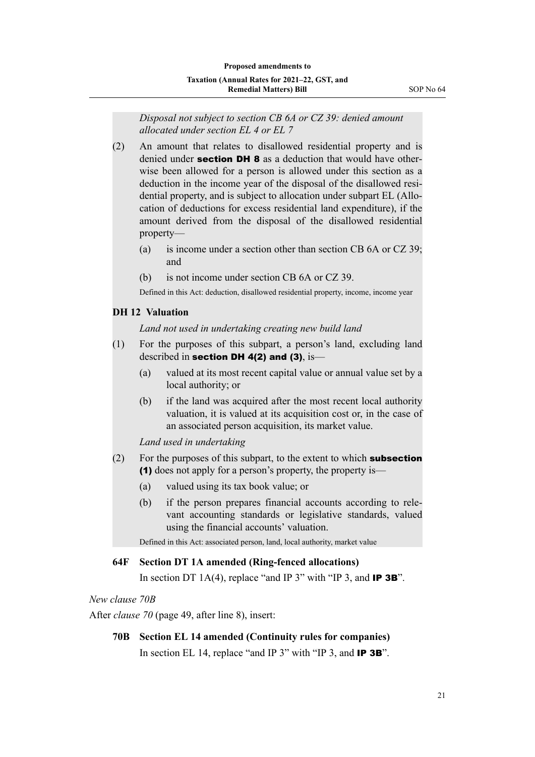*Disposal not subject to section CB 6A or CZ 39: denied amount allocated under section EL 4 or EL 7*

- (2) An amount that relates to disallowed residential property and is denied under **section DH 8** as a deduction that would have otherwise been allowed for a person is allowed under this section as a deduction in the income year of the disposal of the disallowed resi‐ dential property, and is subject to allocation under subpart EL (Allocation of deductions for excess residential land expenditure), if the amount derived from the disposal of the disallowed residential property—
	- (a) is income under a section other than section CB 6A or CZ 39; and
	- (b) is not income under section CB 6A or CZ 39.

Defined in this Act: deduction, disallowed residential property, income, income year

#### **DH 12 Valuation**

*Land not used in undertaking creating new build land*

- (1) For the purposes of this subpart, a person's land, excluding land described in section DH 4(2) and (3), is-
	- (a) valued at its most recent capital value or annual value set by a local authority; or
	- (b) if the land was acquired after the most recent local authority valuation, it is valued at its acquisition cost or, in the case of an associated person acquisition, its market value.

*Land used in undertaking*

- $(2)$  For the purposes of this subpart, to the extent to which **subsection** (1) does not apply for a person's property, the property is—
	- (a) valued using its tax book value; or
	- (b) if the person prepares financial accounts according to rele‐ vant accounting standards or legislative standards, valued using the financial accounts' valuation.

Defined in this Act: associated person, land, local authority, market value

#### **64F Section DT 1A amended (Ring-fenced allocations)**

In section DT 1A(4), replace "and IP 3" with "IP 3, and **IP 3B**".

#### *New clause 70B*

After *clause 70* (page 49, after line 8), insert:

#### **70B Section EL 14 amended (Continuity rules for companies)**

In section EL 14, replace "and IP 3" with "IP 3, and **IP 3B**".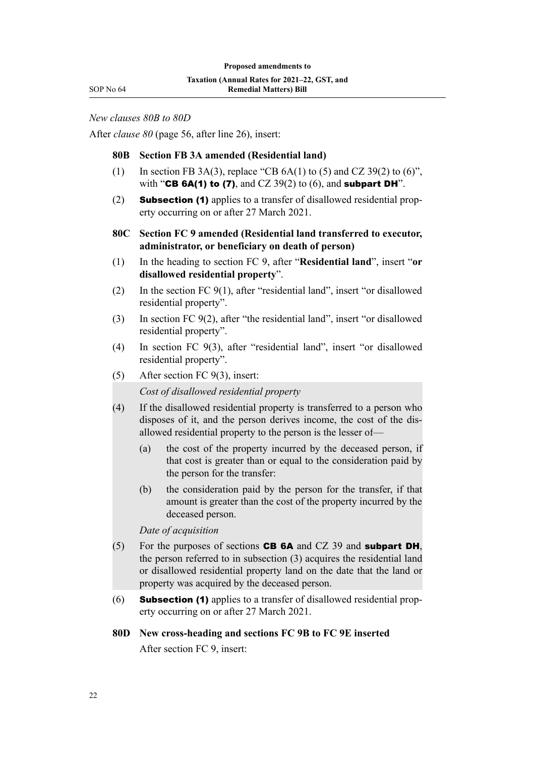*New clauses 80B to 80D*

After *clause 80* (page 56, after line 26), insert:

#### **80B Section FB 3A amended (Residential land)**

- (1) In section FB 3A(3), replace "CB  $6A(1)$  to (5) and CZ 39(2) to (6)", with "CB 6A(1) to (7), and CZ  $39(2)$  to (6), and subpart DH".
- (2) **Subsection (1)** applies to a transfer of disallowed residential property occurring on or after 27 March 2021.
- **80C Section FC 9 amended (Residential land transferred to executor, administrator, or beneficiary on death of person)**
- (1) In the heading to section FC 9, after "**Residential land**", insert "**or disallowed residential property**".
- (2) In the section FC 9(1), after "residential land", insert "or disallowed residential property".
- (3) In section FC 9(2), after "the residential land", insert "or disallowed residential property".
- (4) In section FC 9(3), after "residential land", insert "or disallowed residential property".
- (5) After section FC 9(3), insert:

*Cost of disallowed residential property*

- (4) If the disallowed residential property is transferred to a person who disposes of it, and the person derives income, the cost of the dis‐ allowed residential property to the person is the lesser of—
	- (a) the cost of the property incurred by the deceased person, if that cost is greater than or equal to the consideration paid by the person for the transfer:
	- (b) the consideration paid by the person for the transfer, if that amount is greater than the cost of the property incurred by the deceased person.

*Date of acquisition*

- (5) For the purposes of sections **CB 6A** and CZ 39 and **subpart DH**, the person referred to in subsection (3) acquires the residential land or disallowed residential property land on the date that the land or property was acquired by the deceased person.
- (6) **Subsection (1)** applies to a transfer of disallowed residential property occurring on or after 27 March 2021.

#### **80D New cross-heading and sections FC 9B to FC 9E inserted**

After section FC 9, insert: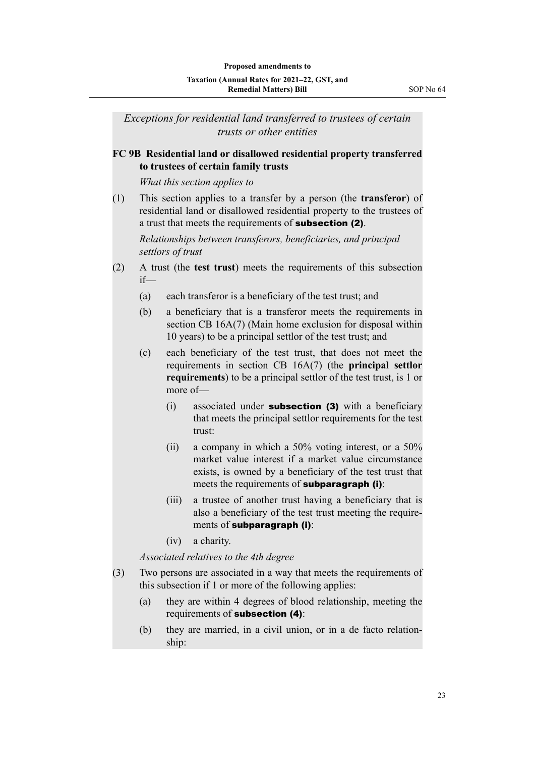*Exceptions for residential land transferred to trustees of certain trusts or other entities*

# **FC 9B Residential land or disallowed residential property transferred to trustees of certain family trusts**

*What this section applies to*

(1) This section applies to a transfer by a person (the **transferor**) of residential land or disallowed residential property to the trustees of a trust that meets the requirements of subsection (2).

*Relationships between transferors, beneficiaries, and principal settlors of trust*

- (2) A trust (the **test trust**) meets the requirements of this subsection if—
	- (a) each transferor is a beneficiary of the test trust; and
	- (b) a beneficiary that is a transferor meets the requirements in section CB 16A(7) (Main home exclusion for disposal within 10 years) to be a principal settlor of the test trust; and
	- (c) each beneficiary of the test trust, that does not meet the requirements in section CB 16A(7) (the **principal settlor requirements**) to be a principal settlor of the test trust, is 1 or more of—
		- (i) associated under **subsection (3)** with a beneficiary that meets the principal settlor requirements for the test trust:
		- (ii) a company in which a 50% voting interest, or a 50% market value interest if a market value circumstance exists, is owned by a beneficiary of the test trust that meets the requirements of **subparagraph (i)**:
		- (iii) a trustee of another trust having a beneficiary that is also a beneficiary of the test trust meeting the require‐ ments of subparagraph (i):
		- (iv) a charity.

*Associated relatives to the 4th degree*

- (3) Two persons are associated in a way that meets the requirements of this subsection if 1 or more of the following applies:
	- (a) they are within 4 degrees of blood relationship, meeting the requirements of subsection (4):
	- (b) they are married, in a civil union, or in a de facto relationship: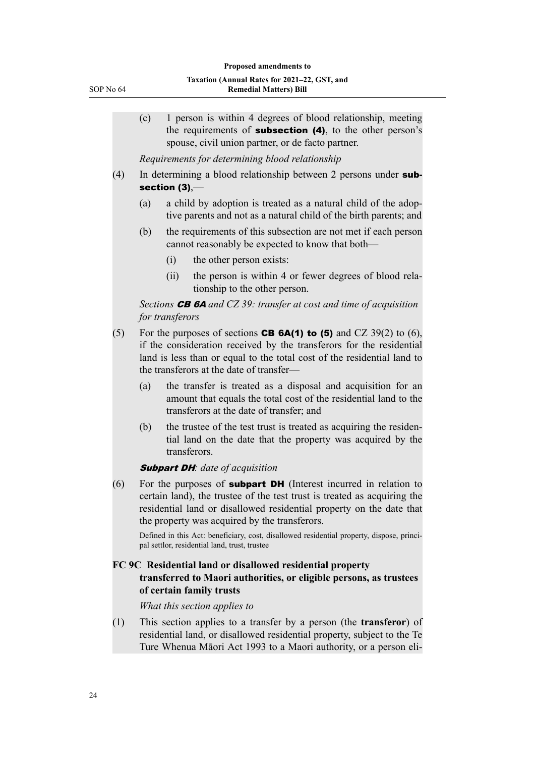|     | (c)                                                                                                                                                                                                                                                                     |                                                                                                                                                                              | 1 person is within 4 degrees of blood relationship, meeting<br>the requirements of <b>subsection (4)</b> , to the other person's<br>spouse, civil union partner, or de facto partner. |  |  |  |  |
|-----|-------------------------------------------------------------------------------------------------------------------------------------------------------------------------------------------------------------------------------------------------------------------------|------------------------------------------------------------------------------------------------------------------------------------------------------------------------------|---------------------------------------------------------------------------------------------------------------------------------------------------------------------------------------|--|--|--|--|
|     |                                                                                                                                                                                                                                                                         | Requirements for determining blood relationship                                                                                                                              |                                                                                                                                                                                       |  |  |  |  |
| (4) | In determining a blood relationship between 2 persons under sub-<br>section $(3)$ ,—                                                                                                                                                                                    |                                                                                                                                                                              |                                                                                                                                                                                       |  |  |  |  |
|     | (a)                                                                                                                                                                                                                                                                     | a child by adoption is treated as a natural child of the adop-<br>tive parents and not as a natural child of the birth parents; and                                          |                                                                                                                                                                                       |  |  |  |  |
|     | (b)                                                                                                                                                                                                                                                                     |                                                                                                                                                                              | the requirements of this subsection are not met if each person<br>cannot reasonably be expected to know that both-                                                                    |  |  |  |  |
|     |                                                                                                                                                                                                                                                                         | (i)                                                                                                                                                                          | the other person exists:                                                                                                                                                              |  |  |  |  |
|     |                                                                                                                                                                                                                                                                         | (ii)                                                                                                                                                                         | the person is within 4 or fewer degrees of blood rela-<br>tionship to the other person.                                                                                               |  |  |  |  |
|     |                                                                                                                                                                                                                                                                         | for transferors                                                                                                                                                              | Sections $CB$ 6A and CZ 39: transfer at cost and time of acquisition                                                                                                                  |  |  |  |  |
| (5) | For the purposes of sections <b>CB 6A(1) to (5)</b> and CZ 39(2) to (6),<br>if the consideration received by the transferors for the residential<br>land is less than or equal to the total cost of the residential land to<br>the transferors at the date of transfer- |                                                                                                                                                                              |                                                                                                                                                                                       |  |  |  |  |
|     | (a)                                                                                                                                                                                                                                                                     | the transfer is treated as a disposal and acquisition for an<br>amount that equals the total cost of the residential land to the<br>transferors at the date of transfer; and |                                                                                                                                                                                       |  |  |  |  |
|     | (b)                                                                                                                                                                                                                                                                     | the trustee of the test trust is treated as acquiring the residen-<br>tial land on the date that the property was acquired by the<br>transferors.                            |                                                                                                                                                                                       |  |  |  |  |
|     |                                                                                                                                                                                                                                                                         |                                                                                                                                                                              | <b>Subpart DH</b> : date of acquisition                                                                                                                                               |  |  |  |  |
| (6) | For the purposes of subpart DH (Interest incurred in relation to<br>certain land), the trustee of the test trust is treated as acquiring the<br>residential land or disallowed residential property on the date that<br>the property was acquired by the transferors.   |                                                                                                                                                                              |                                                                                                                                                                                       |  |  |  |  |
|     |                                                                                                                                                                                                                                                                         |                                                                                                                                                                              | .                                                                                                                                                                                     |  |  |  |  |

Defined in this Act: beneficiary, cost, disallowed residential property, dispose, principal settlor, residential land, trust, trustee

# **FC 9C Residential land or disallowed residential property transferred to Maori authorities, or eligible persons, as trustees of certain family trusts**

*What this section applies to*

(1) This section applies to a transfer by a person (the **transferor**) of residential land, or disallowed residential property, subject to the Te Ture Whenua Māori Act 1993 to a Maori authority, or a person eli‐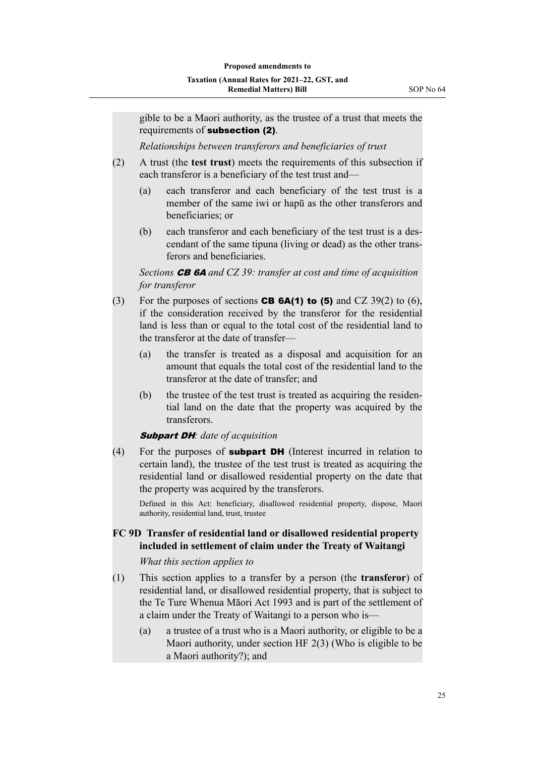gible to be a Maori authority, as the trustee of a trust that meets the requirements of subsection (2).

*Relationships between transferors and beneficiaries of trust*

- (2) A trust (the **test trust**) meets the requirements of this subsection if each transferor is a beneficiary of the test trust and—
	- (a) each transferor and each beneficiary of the test trust is a member of the same iwi or hapū as the other transferors and beneficiaries; or
	- (b) each transferor and each beneficiary of the test trust is a descendant of the same tipuna (living or dead) as the other trans‐ ferors and beneficiaries.

*Sections* CB 6A *and CZ 39: transfer at cost and time of acquisition for transferor*

- (3) For the purposes of sections **CB 6A(1) to (5)** and CZ 39(2) to (6), if the consideration received by the transferor for the residential land is less than or equal to the total cost of the residential land to the transferor at the date of transfer—
	- (a) the transfer is treated as a disposal and acquisition for an amount that equals the total cost of the residential land to the transferor at the date of transfer; and
	- (b) the trustee of the test trust is treated as acquiring the residential land on the date that the property was acquired by the transferors.

#### Subpart DH*: date of acquisition*

 $(4)$  For the purposes of **subpart DH** (Interest incurred in relation to certain land), the trustee of the test trust is treated as acquiring the residential land or disallowed residential property on the date that the property was acquired by the transferors.

Defined in this Act: beneficiary, disallowed residential property, dispose, Maori authority, residential land, trust, trustee

#### **FC 9D Transfer of residential land or disallowed residential property included in settlement of claim under the Treaty of Waitangi**

#### *What this section applies to*

- (1) This section applies to a transfer by a person (the **transferor**) of residential land, or disallowed residential property, that is subject to the Te Ture Whenua Māori Act 1993 and is part of the settlement of a claim under the Treaty of Waitangi to a person who is—
	- (a) a trustee of a trust who is a Maori authority, or eligible to be a Maori authority, under section HF 2(3) (Who is eligible to be a Maori authority?); and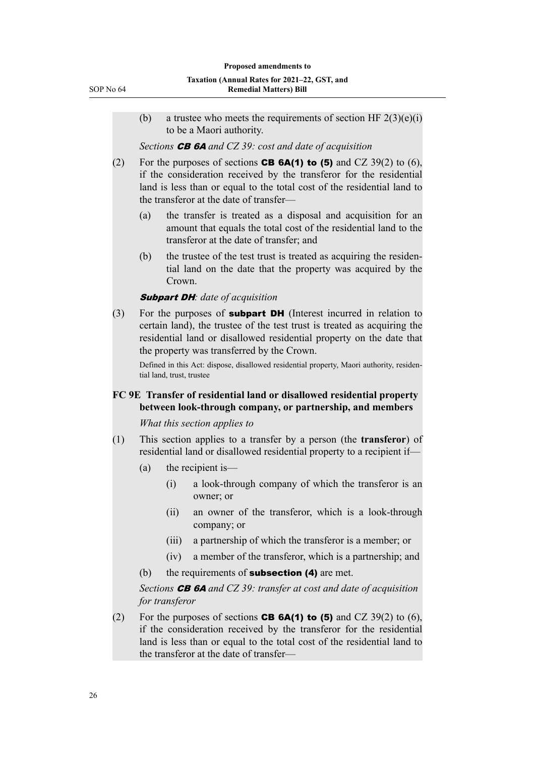(b) a trustee who meets the requirements of section HF  $2(3)(e)(i)$ to be a Maori authority.

*Sections* CB 6A *and CZ 39: cost and date of acquisition*

- (2) For the purposes of sections **CB 6A(1) to (5)** and CZ 39(2) to (6), if the consideration received by the transferor for the residential land is less than or equal to the total cost of the residential land to the transferor at the date of transfer—
	- (a) the transfer is treated as a disposal and acquisition for an amount that equals the total cost of the residential land to the transferor at the date of transfer; and
	- (b) the trustee of the test trust is treated as acquiring the residential land on the date that the property was acquired by the Crown.

#### Subpart DH*: date of acquisition*

(3) For the purposes of **subpart DH** (Interest incurred in relation to certain land), the trustee of the test trust is treated as acquiring the residential land or disallowed residential property on the date that the property was transferred by the Crown.

Defined in this Act: dispose, disallowed residential property, Maori authority, residential land, trust, trustee

#### **FC 9E Transfer of residential land or disallowed residential property between look-through company, or partnership, and members**

*What this section applies to*

- (1) This section applies to a transfer by a person (the **transferor**) of residential land or disallowed residential property to a recipient if—
	- (a) the recipient is—
		- (i) a look-through company of which the transferor is an owner; or
		- (ii) an owner of the transferor, which is a look-through company; or
		- (iii) a partnership of which the transferor is a member; or
		- (iv) a member of the transferor, which is a partnership; and
	- (b) the requirements of **subsection (4)** are met.

*Sections* CB 6A *and CZ 39: transfer at cost and date of acquisition for transferor*

(2) For the purposes of sections **CB 6A(1) to (5)** and CZ 39(2) to (6), if the consideration received by the transferor for the residential land is less than or equal to the total cost of the residential land to the transferor at the date of transfer—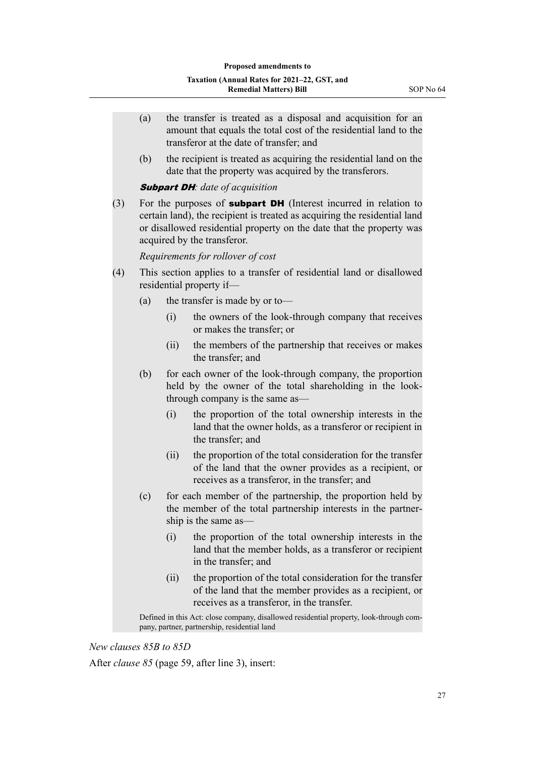- (a) the transfer is treated as a disposal and acquisition for an amount that equals the total cost of the residential land to the transferor at the date of transfer; and
- (b) the recipient is treated as acquiring the residential land on the date that the property was acquired by the transferors.

#### Subpart DH*: date of acquisition*

(3) For the purposes of **subpart DH** (Interest incurred in relation to certain land), the recipient is treated as acquiring the residential land or disallowed residential property on the date that the property was acquired by the transferor.

*Requirements for rollover of cost*

- (4) This section applies to a transfer of residential land or disallowed residential property if—
	- (a) the transfer is made by or to—
		- (i) the owners of the look-through company that receives or makes the transfer; or
		- (ii) the members of the partnership that receives or makes the transfer; and
	- (b) for each owner of the look-through company, the proportion held by the owner of the total shareholding in the lookthrough company is the same as—
		- (i) the proportion of the total ownership interests in the land that the owner holds, as a transferor or recipient in the transfer; and
		- (ii) the proportion of the total consideration for the transfer of the land that the owner provides as a recipient, or receives as a transferor, in the transfer; and
	- (c) for each member of the partnership, the proportion held by the member of the total partnership interests in the partner‐ ship is the same as—
		- (i) the proportion of the total ownership interests in the land that the member holds, as a transferor or recipient in the transfer; and
		- (ii) the proportion of the total consideration for the transfer of the land that the member provides as a recipient, or receives as a transferor, in the transfer.

Defined in this Act: close company, disallowed residential property, look-through company, partner, partnership, residential land

*New clauses 85B to 85D*

After *clause 85* (page 59, after line 3), insert: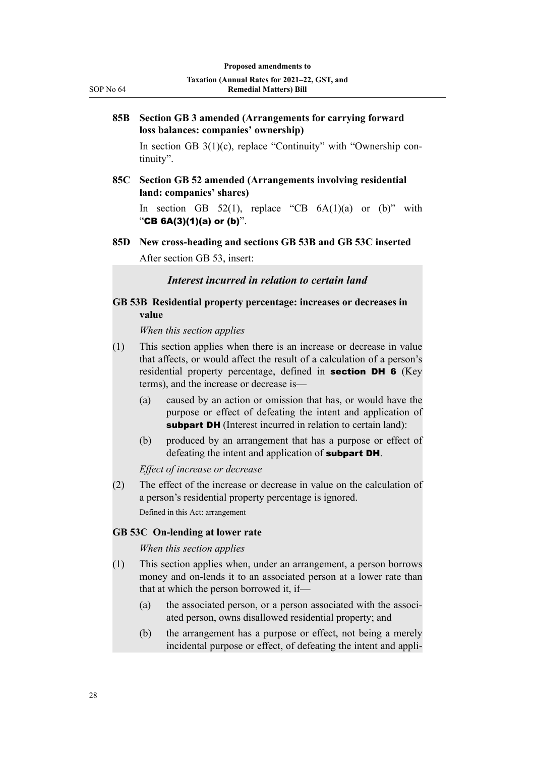#### **85B Section GB 3 amended (Arrangements for carrying forward loss balances: companies' ownership)**

In section GB  $3(1)(c)$ , replace "Continuity" with "Ownership continuity".

**85C Section GB 52 amended (Arrangements involving residential land: companies' shares)**

In section GB 52(1), replace "CB  $6A(1)(a)$  or (b)" with "CB  $6A(3)(1)(a)$  or  $(b)$ ".

**85D New cross-heading and sections GB 53B and GB 53C inserted** After section GB 53, insert:

*Interest incurred in relation to certain land*

# **GB 53B Residential property percentage: increases or decreases in value**

*When this section applies*

- (1) This section applies when there is an increase or decrease in value that affects, or would affect the result of a calculation of a person's residential property percentage, defined in section DH 6 (Key terms), and the increase or decrease is—
	- (a) caused by an action or omission that has, or would have the purpose or effect of defeating the intent and application of subpart DH (Interest incurred in relation to certain land):
	- (b) produced by an arrangement that has a purpose or effect of defeating the intent and application of **subpart DH**.

*Effect of increase or decrease*

(2) The effect of the increase or decrease in value on the calculation of a person's residential property percentage is ignored. Defined in this Act: arrangement

#### **GB 53C On-lending at lower rate**

#### *When this section applies*

- (1) This section applies when, under an arrangement, a person borrows money and on-lends it to an associated person at a lower rate than that at which the person borrowed it, if—
	- $(a)$  the associated person, or a person associated with the associated person, owns disallowed residential property; and
	- (b) the arrangement has a purpose or effect, not being a merely incidental purpose or effect, of defeating the intent and appli‐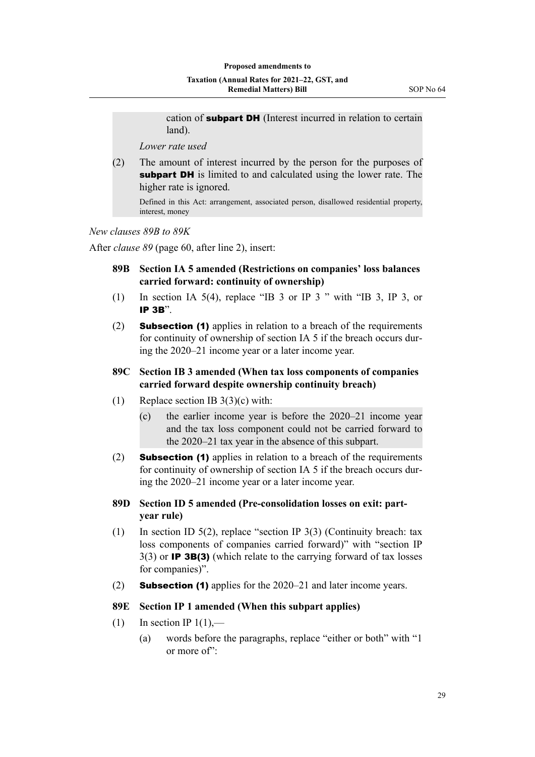cation of **subpart DH** (Interest incurred in relation to certain land).

*Lower rate used*

(2) The amount of interest incurred by the person for the purposes of subpart DH is limited to and calculated using the lower rate. The higher rate is ignored.

Defined in this Act: arrangement, associated person, disallowed residential property, interest, money

*New clauses 89B to 89K*

After *clause 89* (page 60, after line 2), insert:

- **89B Section IA 5 amended (Restrictions on companies' loss balances carried forward: continuity of ownership)**
- (1) In section IA 5(4), replace "IB 3 or IP 3 " with "IB 3, IP 3, or IP 3B".
- (2) Subsection (1) applies in relation to a breach of the requirements for continuity of ownership of section IA 5 if the breach occurs during the 2020–21 income year or a later income year.
- **89C Section IB 3 amended (When tax loss components of companies carried forward despite ownership continuity breach)**
- (1) Replace section IB 3(3)(c) with:
	- (c) the earlier income year is before the 2020–21 income year and the tax loss component could not be carried forward to the 2020–21 tax year in the absence of this subpart.
- (2) **Subsection (1)** applies in relation to a breach of the requirements for continuity of ownership of section IA 5 if the breach occurs during the 2020–21 income year or a later income year.
- **89D Section ID 5 amended (Pre-consolidation losses on exit: partyear rule)**
- (1) In section ID 5(2), replace "section IP 3(3) (Continuity breach: tax loss components of companies carried forward)" with "section IP  $3(3)$  or **IP 3B(3)** (which relate to the carrying forward of tax losses for companies)".
- (2) **Subsection (1)** applies for the  $2020-21$  and later income years.

#### **89E Section IP 1 amended (When this subpart applies)**

- (1) In section IP  $1(1)$ ,—
	- (a) words before the paragraphs, replace "either or both" with "1 or more of":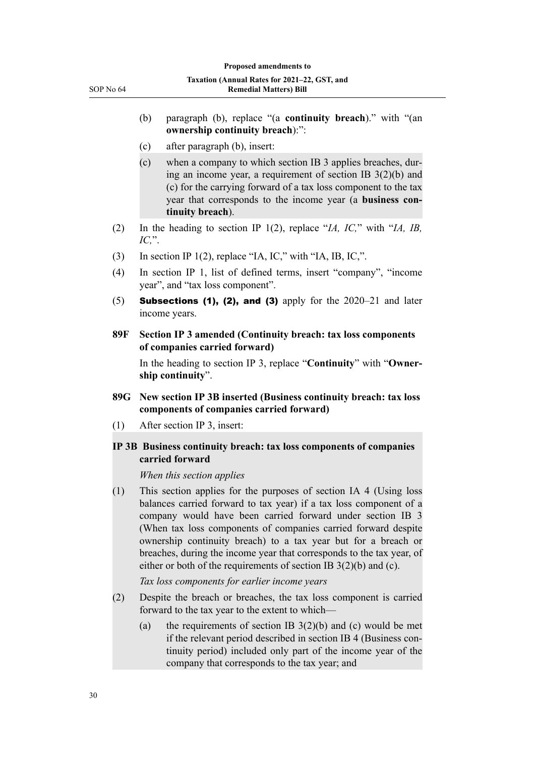- (b) paragraph (b), replace "(a **continuity breach**)." with "(an **ownership continuity breach**):":
- (c) after paragraph (b), insert:
- (c) when a company to which section IB 3 applies breaches, dur‐ ing an income year, a requirement of section IB 3(2)(b) and (c) for the carrying forward of a tax loss component to the tax year that corresponds to the income year (a **business con‐ tinuity breach**).
- (2) In the heading to section IP 1(2), replace "*IA, IC,*" with "*IA, IB, IC,*".
- (3) In section IP 1(2), replace "IA, IC," with "IA, IB, IC,".
- (4) In section IP 1, list of defined terms, insert "company", "income year", and "tax loss component".
- $(5)$  Subsections (1), (2), and (3) apply for the 2020–21 and later income years.
- **89F Section IP 3 amended (Continuity breach: tax loss components of companies carried forward)**

In the heading to section IP 3, replace "**Continuity**" with "**Owner‐ ship continuity**".

- **89G New section IP 3B inserted (Business continuity breach: tax loss components of companies carried forward)**
- (1) After section IP 3, insert:

#### **IP 3B Business continuity breach: tax loss components of companies carried forward**

*When this section applies*

(1) This section applies for the purposes of section IA 4 (Using loss balances carried forward to tax year) if a tax loss component of a company would have been carried forward under section IB 3 (When tax loss components of companies carried forward despite ownership continuity breach) to a tax year but for a breach or breaches, during the income year that corresponds to the tax year, of either or both of the requirements of section IB 3(2)(b) and (c).

*Tax loss components for earlier income years*

- (2) Despite the breach or breaches, the tax loss component is carried forward to the tax year to the extent to which—
	- (a) the requirements of section IB  $3(2)(b)$  and (c) would be met if the relevant period described in section IB 4 (Business con‐ tinuity period) included only part of the income year of the company that corresponds to the tax year; and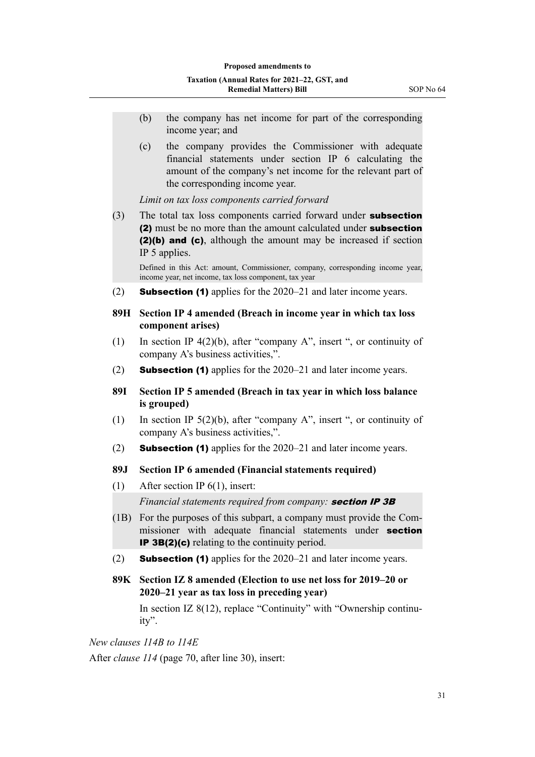- (b) the company has net income for part of the corresponding income year; and
- (c) the company provides the Commissioner with adequate financial statements under section IP 6 calculating the amount of the company's net income for the relevant part of the corresponding income year.

*Limit on tax loss components carried forward*

(3) The total tax loss components carried forward under **subsection** (2) must be no more than the amount calculated under subsection (2)(b) and (c), although the amount may be increased if section IP 5 applies.

Defined in this Act: amount, Commissioner, company, corresponding income year, income year, net income, tax loss component, tax year

(2) **Subsection (1)** applies for the  $2020-21$  and later income years.

#### **89H Section IP 4 amended (Breach in income year in which tax loss component arises)**

- (1) In section IP 4(2)(b), after "company A", insert ", or continuity of company A's business activities,".
- (2) **Subsection (1)** applies for the  $2020-21$  and later income years.
- **89I Section IP 5 amended (Breach in tax year in which loss balance is grouped)**
- (1) In section IP 5(2)(b), after "company A", insert ", or continuity of company A's business activities,".
- (2) **Subsection (1)** applies for the  $2020-21$  and later income years.

#### **89J Section IP 6 amended (Financial statements required)**

(1) After section IP 6(1), insert:

*Financial statements required from company:* **section IP 3B** 

- (1B) For the purposes of this subpart, a company must provide the Com‐ missioner with adequate financial statements under **section** IP 3B(2)(c) relating to the continuity period.
- (2) **Subsection (1)** applies for the  $2020-21$  and later income years.
- **89K Section IZ 8 amended (Election to use net loss for 2019–20 or 2020–21 year as tax loss in preceding year)**

In section IZ 8(12), replace "Continuity" with "Ownership continu‐ ity".

*New clauses 114B to 114E* After *clause 114* (page 70, after line 30), insert: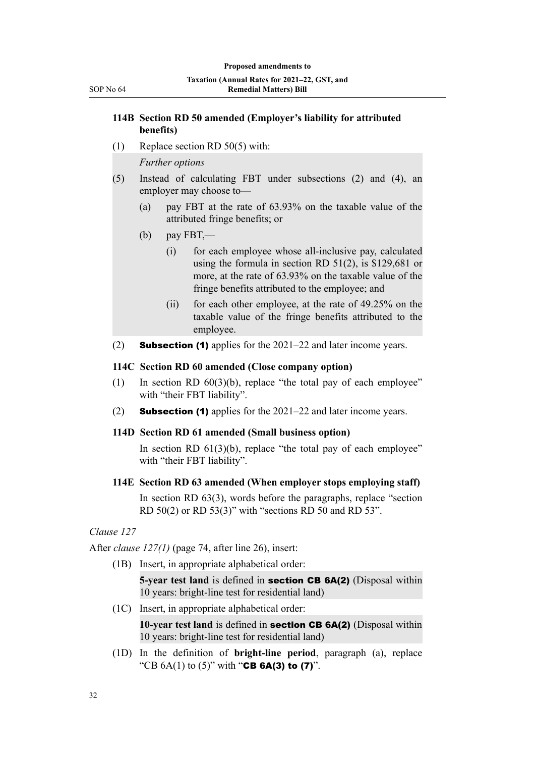#### **114B Section RD 50 amended (Employer's liability for attributed benefits)**

(1) Replace section RD 50(5) with:

*Further options*

- (5) Instead of calculating FBT under subsections (2) and (4), an employer may choose to—
	- (a) pay FBT at the rate of 63.93% on the taxable value of the attributed fringe benefits; or
	- (b) pay FBT,—
		- (i) for each employee whose all-inclusive pay, calculated using the formula in section RD 51(2), is \$129,681 or more, at the rate of 63.93% on the taxable value of the fringe benefits attributed to the employee; and
		- (ii) for each other employee, at the rate of 49.25% on the taxable value of the fringe benefits attributed to the employee.
- (2) **Subsection (1)** applies for the  $2021-22$  and later income years.

#### **114C Section RD 60 amended (Close company option)**

- (1) In section RD  $60(3)(b)$ , replace "the total pay of each employee" with "their FBT liability".
- (2) Subsection (1) applies for the 2021–22 and later income years.

#### **114D Section RD 61 amended (Small business option)**

In section RD  $61(3)(b)$ , replace "the total pay of each employee" with "their FBT liability".

#### **114E Section RD 63 amended (When employer stops employing staff)**

In section RD 63(3), words before the paragraphs, replace "section RD 50(2) or RD 53(3)" with "sections RD 50 and RD 53".

#### *Clause 127*

After *clause 127(1)* (page 74, after line 26), insert:

(1B) Insert, in appropriate alphabetical order:

**5-year test land** is defined in section CB 6A(2) (Disposal within 10 years: bright-line test for residential land)

(1C) Insert, in appropriate alphabetical order:

**10-year test land** is defined in **section CB 6A(2)** (Disposal within 10 years: bright-line test for residential land)

(1D) In the definition of **bright-line period**, paragraph (a), replace "CB  $6A(1)$  to  $(5)$ " with "CB  $6A(3)$  to  $(7)$ ".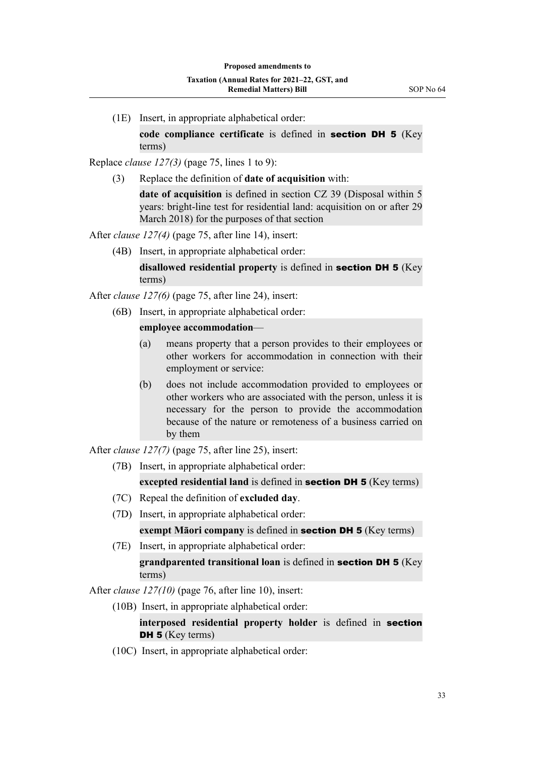(1E) Insert, in appropriate alphabetical order:

**code compliance certificate** is defined in section DH 5 (Key terms)

Replace *clause 127(3)* (page 75, lines 1 to 9):

(3) Replace the definition of **date of acquisition** with:

**date of acquisition** is defined in section CZ 39 (Disposal within 5) years: bright-line test for residential land: acquisition on or after 29 March 2018) for the purposes of that section

After *clause 127(4)* (page 75, after line 14), insert:

(4B) Insert, in appropriate alphabetical order:

**disallowed residential property** is defined in section DH 5 (Key terms)

After *clause 127(6)* (page 75, after line 24), insert:

(6B) Insert, in appropriate alphabetical order:

#### **employee accommodation**—

- (a) means property that a person provides to their employees or other workers for accommodation in connection with their employment or service:
- (b) does not include accommodation provided to employees or other workers who are associated with the person, unless it is necessary for the person to provide the accommodation because of the nature or remoteness of a business carried on by them

After *clause 127(7)* (page 75, after line 25), insert:

(7B) Insert, in appropriate alphabetical order:

**excepted residential land** is defined in **section DH 5** (Key terms)

- (7C) Repeal the definition of **excluded day**.
- (7D) Insert, in appropriate alphabetical order:

**exempt Māori company** is defined in **section DH 5** (Key terms)

(7E) Insert, in appropriate alphabetical order:

**grandparented transitional loan** is defined in section DH 5 (Key terms)

After *clause 127(10)* (page 76, after line 10), insert:

(10B) Insert, in appropriate alphabetical order:

**interposed residential property holder** is defined in section DH 5 (Key terms)

(10C) Insert, in appropriate alphabetical order: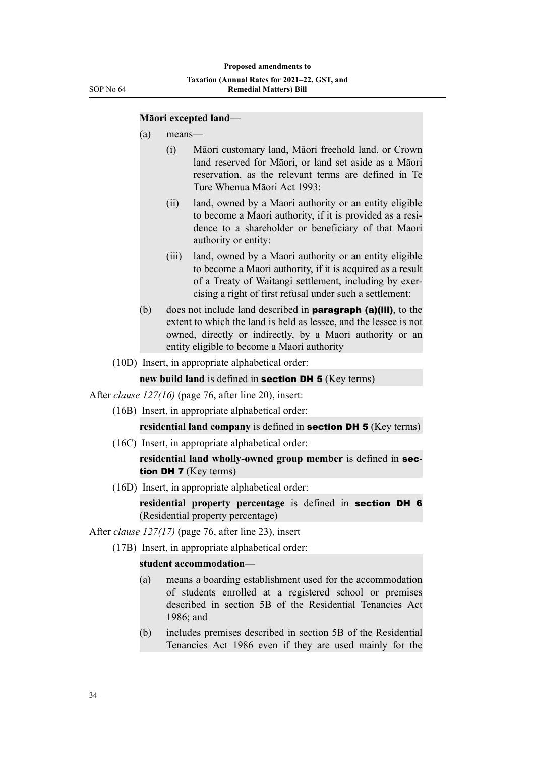#### **Māori excepted land**—

- (a) means—
	- (i) Māori customary land, Māori freehold land, or Crown land reserved for Māori, or land set aside as a Māori reservation, as the relevant terms are defined in Te Ture Whenua Māori Act 1993:
	- (ii) land, owned by a Maori authority or an entity eligible to become a Maori authority, if it is provided as a resi‐ dence to a shareholder or beneficiary of that Maori authority or entity:
	- (iii) land, owned by a Maori authority or an entity eligible to become a Maori authority, if it is acquired as a result of a Treaty of Waitangi settlement, including by exer‐ cising a right of first refusal under such a settlement:
- (b) does not include land described in **paragraph (a)(iii)**, to the extent to which the land is held as lessee, and the lessee is not owned, directly or indirectly, by a Maori authority or an entity eligible to become a Maori authority
- (10D) Insert, in appropriate alphabetical order:

**new build land** is defined in **section DH 5** (Key terms)

After *clause 127(16)* (page 76, after line 20), insert:

(16B) Insert, in appropriate alphabetical order:

**residential land company** is defined in **section DH 5** (Key terms)

(16C) Insert, in appropriate alphabetical order:

**residential land wholly-owned group member** is defined in section DH 7 (Key terms)

(16D) Insert, in appropriate alphabetical order:

**residential property percentage** is defined in section DH 6 (Residential property percentage)

After *clause 127(17)* (page 76, after line 23), insert

(17B) Insert, in appropriate alphabetical order:

#### **student accommodation**—

- (a) means a boarding establishment used for the accommodation of students enrolled at a registered school or premises described in section 5B of the Residential Tenancies Act 1986; and
- (b) includes premises described in section 5B of the Residential Tenancies Act 1986 even if they are used mainly for the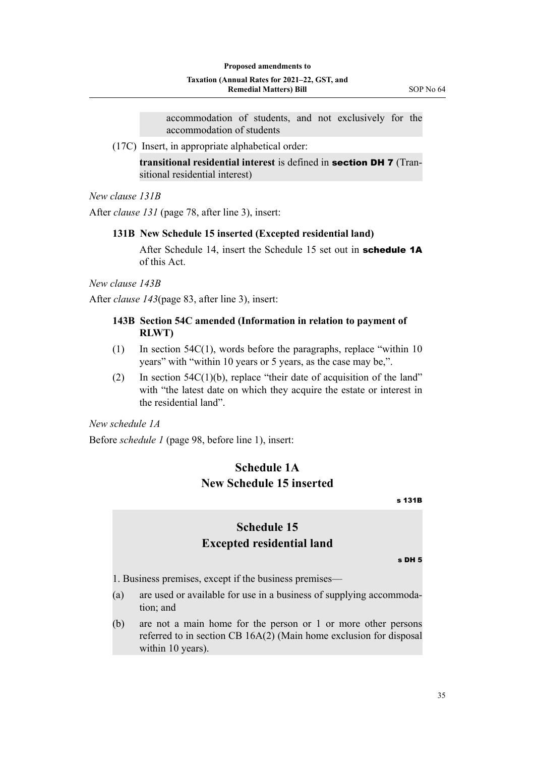accommodation of students, and not exclusively for the accommodation of students

(17C) Insert, in appropriate alphabetical order:

**transitional residential interest** is defined in section DH 7 (Tran‐ sitional residential interest)

*New clause 131B*

After *clause 131* (page 78, after line 3), insert:

#### **131B New Schedule 15 inserted (Excepted residential land)**

After Schedule 14, insert the Schedule 15 set out in **schedule 1A** of this Act.

*New clause 143B*

After *clause 143*(page 83, after line 3), insert:

#### **143B Section 54C amended (Information in relation to payment of RLWT)**

- (1) In section 54C(1), words before the paragraphs, replace "within 10 years" with "within 10 years or 5 years, as the case may be,".
- (2) In section  $54C(1)(b)$ , replace "their date of acquisition of the land" with "the latest date on which they acquire the estate or interest in the residential land".

*New schedule 1A*

Before *schedule 1* (page 98, before line 1), insert:

# **Schedule 1A New Schedule 15 inserted**

s 131B

# **Schedule 15 Excepted residential land**

s DH 5

1. Business premises, except if the business premises—

- (a) are used or available for use in a business of supplying accommoda‐ tion; and
- (b) are not a main home for the person or 1 or more other persons referred to in section CB 16A(2) (Main home exclusion for disposal within 10 years).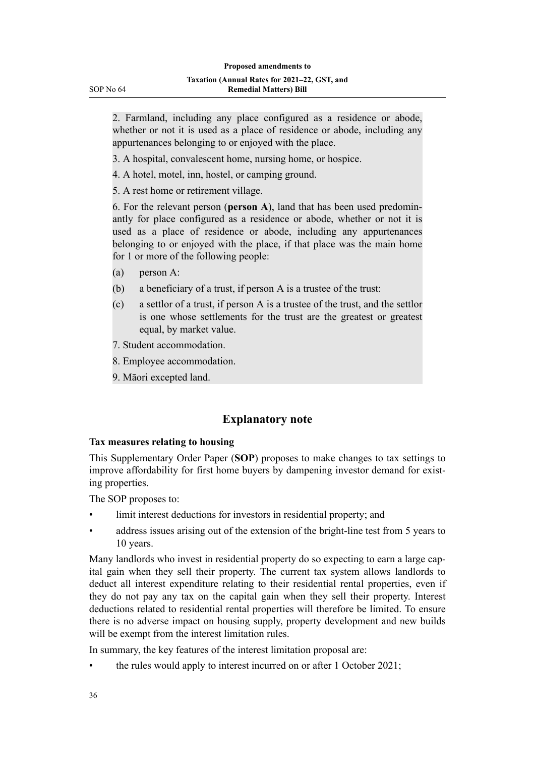2. Farmland, including any place configured as a residence or abode, whether or not it is used as a place of residence or abode, including any appurtenances belonging to or enjoyed with the place.

- 3. A hospital, convalescent home, nursing home, or hospice.
- 4. A hotel, motel, inn, hostel, or camping ground.
- 5. A rest home or retirement village.

6. For the relevant person (**person A**), land that has been used predomin‐ antly for place configured as a residence or abode, whether or not it is used as a place of residence or abode, including any appurtenances belonging to or enjoyed with the place, if that place was the main home for 1 or more of the following people:

- (a) person A:
- (b) a beneficiary of a trust, if person A is a trustee of the trust:
- (c) a settlor of a trust, if person A is a trustee of the trust, and the settlor is one whose settlements for the trust are the greatest or greatest equal, by market value.
- 7. Student accommodation.
- 8. Employee accommodation.
- 9. Māori excepted land.

# **Explanatory note**

#### **Tax measures relating to housing**

This Supplementary Order Paper (**SOP**) proposes to make changes to tax settings to improve affordability for first home buyers by dampening investor demand for existing properties.

The SOP proposes to:

- limit interest deductions for investors in residential property; and
- address issues arising out of the extension of the bright-line test from 5 years to 10 years.

Many landlords who invest in residential property do so expecting to earn a large capital gain when they sell their property. The current tax system allows landlords to deduct all interest expenditure relating to their residential rental properties, even if they do not pay any tax on the capital gain when they sell their property. Interest deductions related to residential rental properties will therefore be limited. To ensure there is no adverse impact on housing supply, property development and new builds will be exempt from the interest limitation rules.

In summary, the key features of the interest limitation proposal are:

• the rules would apply to interest incurred on or after 1 October 2021;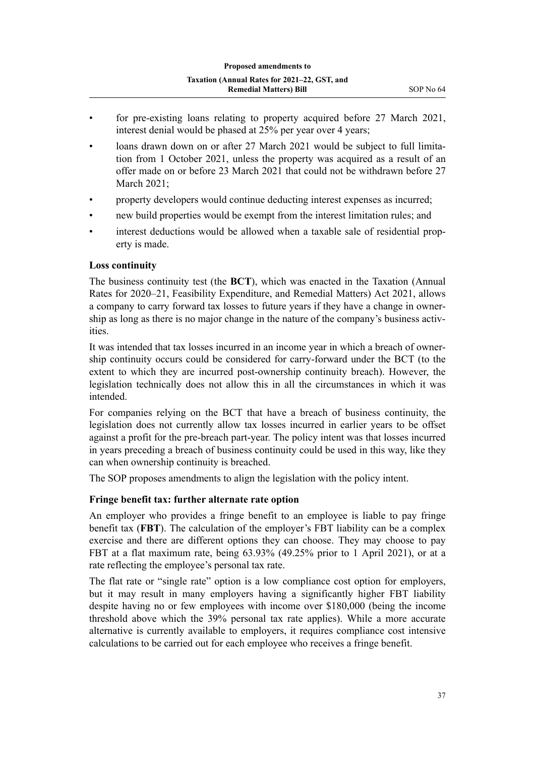- for pre-existing loans relating to property acquired before 27 March 2021, interest denial would be phased at 25% per year over 4 years;
- loans drawn down on or after 27 March 2021 would be subject to full limitation from 1 October 2021, unless the property was acquired as a result of an offer made on or before 23 March 2021 that could not be withdrawn before 27 March 2021;
- property developers would continue deducting interest expenses as incurred;
- new build properties would be exempt from the interest limitation rules; and
- interest deductions would be allowed when a taxable sale of residential property is made.

#### **Loss continuity**

The business continuity test (the **BCT**), which was enacted in the Taxation (Annual Rates for 2020–21, Feasibility Expenditure, and Remedial Matters) Act 2021, allows a company to carry forward tax losses to future years if they have a change in owner‐ ship as long as there is no major change in the nature of the company's business activities.

It was intended that tax losses incurred in an income year in which a breach of ownership continuity occurs could be considered for carry-forward under the BCT (to the extent to which they are incurred post-ownership continuity breach). However, the legislation technically does not allow this in all the circumstances in which it was intended.

For companies relying on the BCT that have a breach of business continuity, the legislation does not currently allow tax losses incurred in earlier years to be offset against a profit for the pre-breach part-year. The policy intent was that losses incurred in years preceding a breach of business continuity could be used in this way, like they can when ownership continuity is breached.

The SOP proposes amendments to align the legislation with the policy intent.

#### **Fringe benefit tax: further alternate rate option**

An employer who provides a fringe benefit to an employee is liable to pay fringe benefit tax (**FBT**). The calculation of the employer's FBT liability can be a complex exercise and there are different options they can choose. They may choose to pay FBT at a flat maximum rate, being 63.93% (49.25% prior to 1 April 2021), or at a rate reflecting the employee's personal tax rate.

The flat rate or "single rate" option is a low compliance cost option for employers, but it may result in many employers having a significantly higher FBT liability despite having no or few employees with income over \$180,000 (being the income threshold above which the 39% personal tax rate applies). While a more accurate alternative is currently available to employers, it requires compliance cost intensive calculations to be carried out for each employee who receives a fringe benefit.